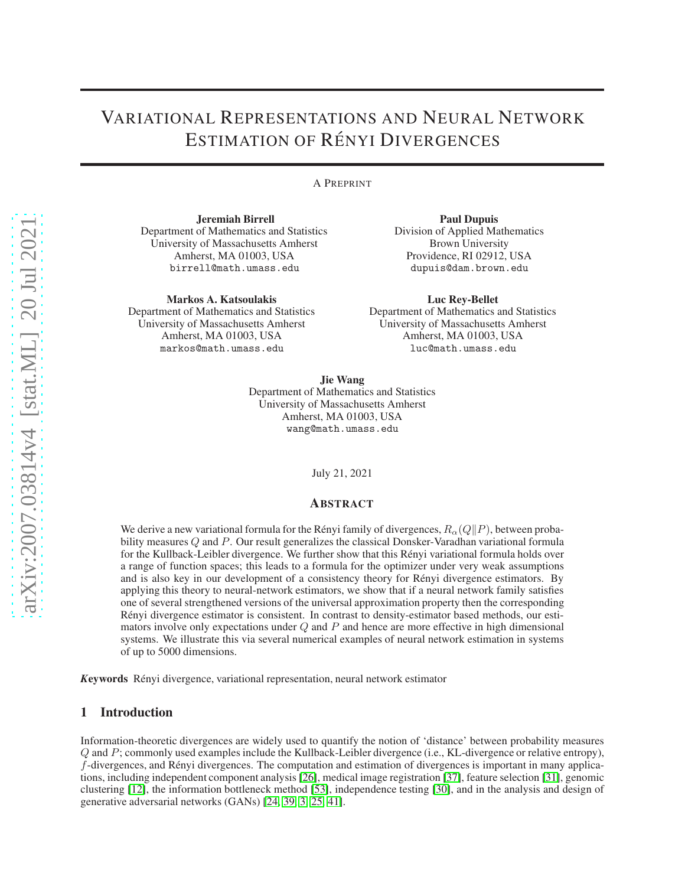# VARIATIONAL REPRESENTATIONS AND NEURAL NETWORK **ESTIMATION OF RÉNYI DIVERGENCES**

A PREPRINT

Jeremiah Birrell Department of Mathematics and Statistics University of Massachusetts Amherst Amherst, MA 01003, USA birrell@math.umass.edu

Markos A. Katsoulakis Department of Mathematics and Statistics University of Massachusetts Amherst Amherst, MA 01003, USA markos@math.umass.edu

Paul Dupuis Division of Applied Mathematics Brown University Providence, RI 02912, USA dupuis@dam.brown.edu

Luc Rey-Bellet Department of Mathematics and Statistics University of Massachusetts Amherst Amherst, MA 01003, USA luc@math.umass.edu

Jie Wang Department of Mathematics and Statistics University of Massachusetts Amherst Amherst, MA 01003, USA wang@math.umass.edu

July 21, 2021

## ABSTRACT

We derive a new variational formula for the Rényi family of divergences,  $R_{\alpha}(Q||P)$ , between probability measures Q and P. Our result generalizes the classical Donsker-Varadhan variational formula for the Kullback-Leibler divergence. We further show that this Rényi variational formula holds over a range of function spaces; this leads to a formula for the optimizer under very weak assumptions and is also key in our development of a consistency theory for Rényi divergence estimators. By applying this theory to neural-network estimators, we show that if a neural network family satisfies one of several strengthened versions of the universal approximation property then the corresponding Rényi divergence estimator is consistent. In contrast to density-estimator based methods, our estimators involve only expectations under  $Q$  and  $P$  and hence are more effective in high dimensional systems. We illustrate this via several numerical examples of neural network estimation in systems of up to 5000 dimensions.

*K*eywords R´enyi divergence, variational representation, neural network estimator

# 1 Introduction

Information-theoretic divergences are widely used to quantify the notion of 'distance' between probability measures Q and P; commonly used examples include the Kullback-Leibler divergence (i.e., KL-divergence or relative entropy),  $f$ -divergences, and Rényi divergences. The computation and estimation of divergences is important in many applications, including independent component analysis [\[26\]](#page-21-0), medical image registration [\[37\]](#page-22-0), feature selection [\[31\]](#page-21-1), genomic clustering [\[12\]](#page-20-0), the information bottleneck method [\[53\]](#page-22-1), independence testing [\[30\]](#page-21-2), and in the analysis and design of generative adversarial networks (GANs) [\[24,](#page-21-3) [39,](#page-22-2) [3,](#page-20-1) 25, [41\]](#page-22-3).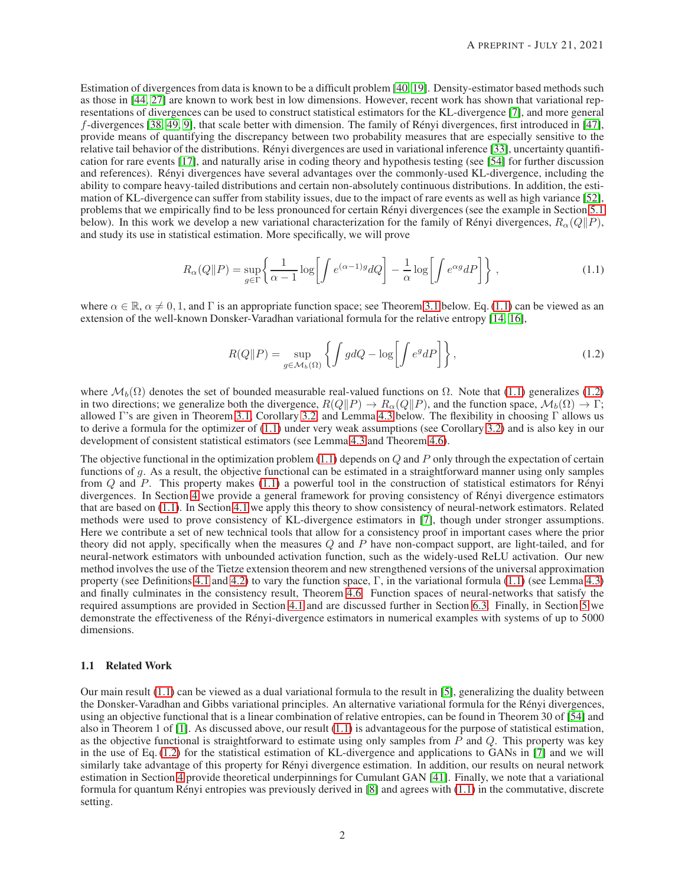Estimation of divergences from data is known to be a difficult problem [40, [19\]](#page-21-4). Density-estimator based methods such as those in [\[44,](#page-22-4) [27\]](#page-21-5) are known to work best in low dimensions. However, recent work has shown that variational representations of divergences can be used to construct statistical estimators for the KL-divergence [\[7\]](#page-20-2), and more general  $f$ -divergences [\[38,](#page-22-5) [49,](#page-22-6) [9\]](#page-20-3), that scale better with dimension. The family of Rényi divergences, first introduced in [\[47\]](#page-22-7), provide means of quantifying the discrepancy between two probability measures that are especially sensitive to the relative tail behavior of the distributions. Rényi divergences are used in variational inference [\[33\]](#page-21-6), uncertainty quantification for rare events [17], and naturally arise in coding theory and hypothesis testing (see [\[54\]](#page-22-8) for further discussion and references). Rényi divergences have several advantages over the commonly-used KL-divergence, including the ability to compare heavy-tailed distributions and certain non-absolutely continuous distributions. In addition, the estimation of KL-divergence can suffer from stability issues, due to the impact of rare events as well as high variance [\[52\]](#page-22-9), problems that we empirically find to be less pronounced for certain Rényi divergences (see the example in Section [5.1](#page-8-0)) below). In this work we develop a new variational characterization for the family of Rényi divergences,  $R_{\alpha}(Q||P)$ , and study its use in statistical estimation. More specifically, we will prove

$$
R_{\alpha}(Q||P) = \sup_{g \in \Gamma} \left\{ \frac{1}{\alpha - 1} \log \left[ \int e^{(\alpha - 1)g} dQ \right] - \frac{1}{\alpha} \log \left[ \int e^{\alpha g} dP \right] \right\},\tag{1.1}
$$

where  $\alpha \in \mathbb{R}$ ,  $\alpha \neq 0, 1$ , and  $\Gamma$  is an appropriate function space; see Theorem [3.1](#page-2-0) below. Eq.[\(1.1\)](#page-1-0) can be viewed as an extension of the well-known Donsker-Varadhan variational formula for the relative entropy [\[14,](#page-20-4) [16\]](#page-21-7),

<span id="page-1-1"></span><span id="page-1-0"></span>
$$
R(Q||P) = \sup_{g \in \mathcal{M}_b(\Omega)} \left\{ \int g dQ - \log \left[ \int e^g dP \right] \right\},\tag{1.2}
$$

where  $\mathcal{M}_b(\Omega)$  denotes the set of bounded measurable real-valued functions on  $\Omega$ . Note that [\(1.1\)](#page-1-0) generalizes [\(1.2\)](#page-1-1) in two directions; we generalize both the divergence,  $R(Q||P) \to R_{\alpha}(Q||P)$ , and the function space,  $\mathcal{M}_b(\Omega) \to \Gamma$ ; allowed Γ's are given in Theorem [3.1,](#page-2-0) Corollary [3.2,](#page-2-1) and Lemma [4.3](#page-5-0) below. The flexibility in choosing Γ allows us to derive a formula for the optimizer of [\(1.1\)](#page-1-0) under very weak assumptions (see Corollary [3.2\)](#page-2-1) and is also key in our development of consistent statistical estimators (see Lemma [4.3](#page-5-0) and Theorem [4.6\)](#page-6-0).

The objective functional in the optimization problem  $(1.1)$  depends on  $Q$  and  $P$  only through the expectation of certain functions of g. As a result, the objective functional can be estimated in a straightforward manner using only samples from  $Q$  and  $P$ . This property makes [\(1.1\)](#page-1-0) a powerful tool in the construction of statistical estimators for Rényi divergences. In Section [4](#page-3-0) we provide a general framework for proving consistency of Rényi divergence estimators that are based on [\(1.1\)](#page-1-0). In Section [4.1](#page-4-0) we apply this theory to show consistency of neural-network estimators. Related methods were used to prove consistency of KL-divergence estimators in [\[7\]](#page-20-2), though under stronger assumptions. Here we contribute a set of new technical tools that allow for a consistency proof in important cases where the prior theory did not apply, specifically when the measures  $Q$  and  $P$  have non-compact support, are light-tailed, and for neural-network estimators with unbounded activation function, such as the widely-used ReLU activation. Our new method involves the use of the Tietze extension theorem and new strengthened versions of the universal approximation property (see Definitions [4.1](#page-5-1) and [4.2\)](#page-5-2) to vary the function space,  $\Gamma$ , in the variational formula [\(1.1\)](#page-1-0) (see Lemma [4.3\)](#page-5-0) and finally culminates in the consistency result, Theorem [4.6.](#page-6-0) Function spaces of neural-networks that satisfy the required assumptions are provided in Section [4.1](#page-4-0) and are discussed further in Section [6.3.](#page-16-0) Finally, in Section [5](#page-7-0) we demonstrate the effectiveness of the Rényi-divergence estimators in numerical examples with systems of up to 5000 dimensions.

## 1.1 Related Work

Our main result [\(1.1\)](#page-1-0) can be viewed as a dual variational formula to the result in [\[5\]](#page-20-5), generalizing the duality between the Donsker-Varadhan and Gibbs variational principles. An alternative variational formula for the Rényi divergences, using an objective functional that is a linear combination of relative entropies, can be found in Theorem 30 of [\[54\]](#page-22-8) and also in Theorem 1 of  $[1]$ . As discussed above, our result  $(1.1)$  is advantageous for the purpose of statistical estimation, as the objective functional is straightforward to estimate using only samples from  $P$  and  $Q$ . This property was key in the use of Eq. [\(1.2\)](#page-1-1) for the statistical estimation of KL-divergence and applications to GANs in [\[7\]](#page-20-2) and we will similarly take advantage of this property for Rényi divergence estimation. In addition, our results on neural network estimation in Section [4](#page-3-0) provide theoretical underpinnings for Cumulant GAN [\[41\]](#page-22-3). Finally, we note that a variational formula for quantum Rényi entropies was previously derived in  $[8]$  and agrees with  $(1.1)$  in the commutative, discrete setting.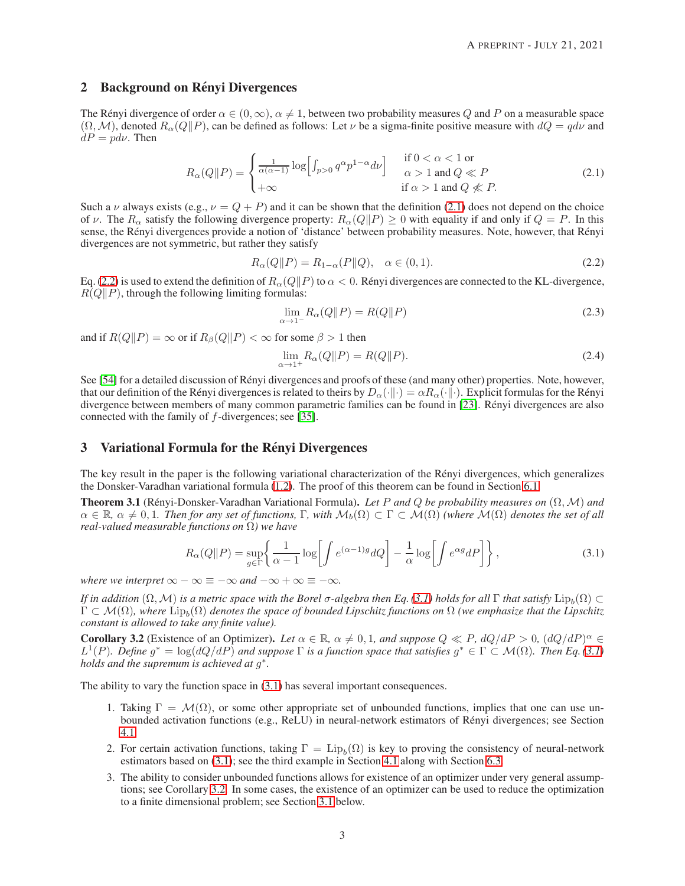## 2 Background on Rényi Divergences

The Rényi divergence of order  $\alpha \in (0, \infty)$ ,  $\alpha \neq 1$ , between two probability measures Q and P on a measurable space  $(\Omega, \mathcal{M})$ , denoted  $R_{\alpha}(Q||P)$ , can be defined as follows: Let  $\nu$  be a sigma-finite positive measure with  $dQ = qd\nu$  and  $dP = pd\nu$ . Then

$$
R_{\alpha}(Q||P) = \begin{cases} \frac{1}{\alpha(\alpha-1)} \log \Big[ \int_{p>0} q^{\alpha} p^{1-\alpha} d\nu \Big] & \text{if } 0 < \alpha < 1 \text{ or} \\ +\infty & \text{if } \alpha > 1 \text{ and } Q \ll P \\ \end{cases}
$$
 (2.1)

Such a  $\nu$  always exists (e.g.,  $\nu = Q + P$ ) and it can be shown that the definition [\(2.1\)](#page-2-2) does not depend on the choice of v. The  $R_{\alpha}$  satisfy the following divergence property:  $R_{\alpha}(Q||P) \ge 0$  with equality if and only if  $Q = P$ . In this sense, the Rényi divergences provide a notion of 'distance' between probability measures. Note, however, that Rényi divergences are not symmetric, but rather they satisfy

$$
R_{\alpha}(Q||P) = R_{1-\alpha}(P||Q), \quad \alpha \in (0,1).
$$
 (2.2)

Eq. [\(2.2\)](#page-2-3) is used to extend the definition of  $R_\alpha(Q||P)$  to  $\alpha < 0$ . Rényi divergences are connected to the KL-divergence,  $R(Q||P)$ , through the following limiting formulas:

<span id="page-2-3"></span><span id="page-2-2"></span>
$$
\lim_{\alpha \to 1^{-}} R_{\alpha}(Q||P) = R(Q||P)
$$
\n(2.3)

and if  $R(Q||P) = \infty$  or if  $R_\beta(Q||P) < \infty$  for some  $\beta > 1$  then

<span id="page-2-4"></span>
$$
\lim_{\alpha \to 1^+} R_{\alpha}(Q \| P) = R(Q \| P). \tag{2.4}
$$

See [\[54\]](#page-22-8) for a detailed discussion of Rényi divergences and proofs of these (and many other) properties. Note, however, that our definition of the Rényi divergences is related to theirs by  $D_{\alpha}(\cdot||\cdot) = \alpha R_{\alpha}(\cdot||\cdot)$ . Explicit formulas for the Rényi divergence between members of many common parametric families can be found in [\[23\]](#page-21-8). Rényi divergences are also connected with the family of f-divergences; see [\[35\]](#page-22-10).

## 3 Variational Formula for the Rényi Divergences

The key result in the paper is the following variational characterization of the Rényi divergences, which generalizes the Donsker-Varadhan variational formula [\(1.2\)](#page-1-1). The proof of this theorem can be found in Section [6.1.](#page-9-0)

<span id="page-2-0"></span>**Theorem 3.1** (Rényi-Donsker-Varadhan Variational Formula). Let P and Q be probability measures on  $(\Omega, \mathcal{M})$  and  $\alpha \in \mathbb{R}$ ,  $\alpha \neq 0,1$ . Then for any set of functions,  $\Gamma$ , with  $\mathcal{M}_b(\Omega) \subset \Gamma \subset \mathcal{M}(\Omega)$  *(where*  $\mathcal{M}(\Omega)$  denotes the set of all *real-valued measurable functions on* Ω*) we have*

$$
R_{\alpha}(Q||P) = \sup_{g \in \Gamma} \left\{ \frac{1}{\alpha - 1} \log \left[ \int e^{(\alpha - 1)g} dQ \right] - \frac{1}{\alpha} \log \left[ \int e^{\alpha g} dP \right] \right\},\tag{3.1}
$$

*where we interpret*  $\infty - \infty \equiv -\infty$  *and*  $-\infty + \infty \equiv -\infty$ *.* 

*If in addition*  $(Ω, M)$  *is a metric space with the Borel*  $σ$ -algebra then Eq. [\(3.1\)](#page-2-4) holds for all Γ that satisfy  $Lip_b(Ω) ⊂$  $\Gamma \subset \mathcal{M}(\Omega)$ , where  $\text{Lip}_b(\Omega)$  denotes the space of bounded Lipschitz functions on  $\Omega$  (we emphasize that the Lipschitz *constant is allowed to take any finite value).*

<span id="page-2-1"></span>**Corollary 3.2** (Existence of an Optimizer). Let  $\alpha \in \mathbb{R}$ ,  $\alpha \neq 0, 1$ , and suppose  $Q \ll P$ ,  $dQ/dP > 0$ ,  $(dQ/dP)^{\alpha} \in \mathbb{R}$  $L^1(P)$ . Define  $g^* = \log(dQ/dP)$  and suppose  $\Gamma$  is a function space that satisfies  $g^* \in \Gamma \subset \mathcal{M}(\Omega)$ . Then Eq. [\(3.1\)](#page-2-4) *holds and the supremum is achieved at* g ∗ *.*

The ability to vary the function space in [\(3.1\)](#page-2-4) has several important consequences.

- 1. Taking  $\Gamma = \mathcal{M}(\Omega)$ , or some other appropriate set of unbounded functions, implies that one can use unbounded activation functions (e.g., ReLU) in neural-network estimators of Rényi divergences; see Section [4.1.](#page-4-0)
- 2. For certain activation functions, taking  $\Gamma = \text{Lip}_b(\Omega)$  is key to proving the consistency of neural-network estimators based on [\(3.1\)](#page-2-4); see the third example in Section [4.1](#page-4-0) along with Section [6.3.](#page-16-0)
- 3. The ability to consider unbounded functions allows for existence of an optimizer under very general assumptions; see Corollary [3.2.](#page-2-1) In some cases, the existence of an optimizer can be used to reduce the optimization to a finite dimensional problem; see Section [3.1](#page-3-1) below.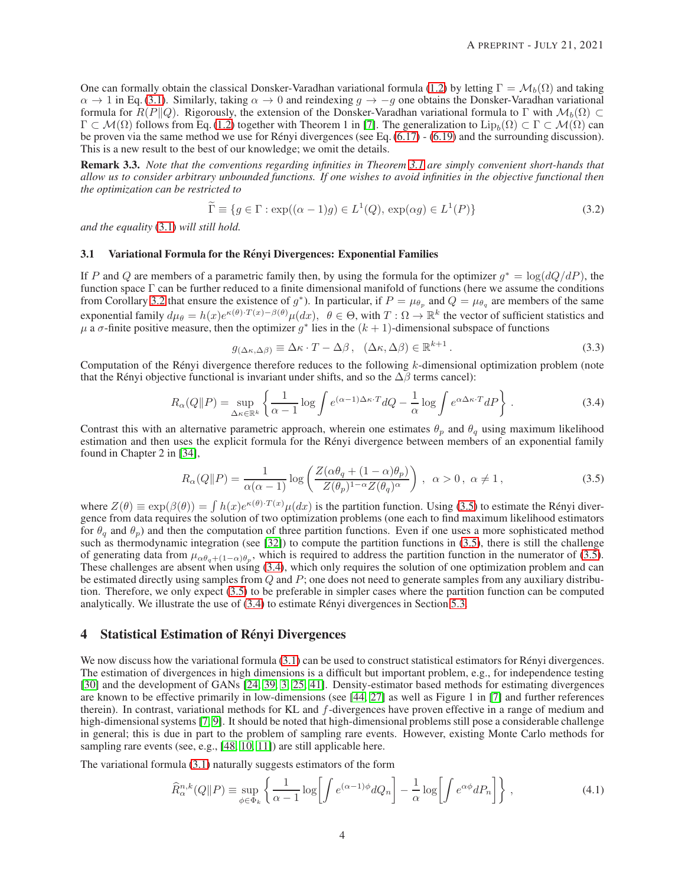One can formally obtain the classical Donsker-Varadhan variational formula [\(1.2\)](#page-1-1) by letting  $\Gamma = \mathcal{M}_b(\Omega)$  and taking  $\alpha \to 1$  in Eq. [\(3.1\)](#page-2-4). Similarly, taking  $\alpha \to 0$  and reindexing  $q \to -q$  one obtains the Donsker-Varadhan variational formula for  $R(P||Q)$ . Rigorously, the extension of the Donsker-Varadhan variational formula to Γ with  $\mathcal{M}_b(\Omega)$  ⊂  $\Gamma \subset \mathcal{M}(\Omega)$  follows from Eq. [\(1.2\)](#page-1-1) together with Theorem 1 in [\[7\]](#page-20-2). The generalization to  $\text{Lip}_b(\Omega) \subset \Gamma \subset \mathcal{M}(\Omega)$  can be proven via the same method we use for Rényi divergences (see Eq.  $(6.17)$  -  $(6.19)$  and the surrounding discussion). This is a new result to the best of our knowledge; we omit the details.

Remark 3.3. *Note that the conventions regarding infinities in Theorem [3.1](#page-2-0) are simply convenient short-hands that allow us to consider arbitrary unbounded functions. If one wishes to avoid infinities in the objective functional then the optimization can be restricted to*

$$
\widetilde{\Gamma} \equiv \{ g \in \Gamma : \exp((\alpha - 1)g) \in L^{1}(Q), \exp(\alpha g) \in L^{1}(P) \}
$$
\n(3.2)

<span id="page-3-1"></span>*and the equality* [\(3.1\)](#page-2-4) *will still hold.*

#### 3.1 Variational Formula for the Renyi Divergences: Exponential Families ´

If P and Q are members of a parametric family then, by using the formula for the optimizer  $g^* = \log(dQ/dP)$ , the function space Γ can be further reduced to a finite dimensional manifold of functions (here we assume the conditions from Corollary [3.2](#page-2-1) that ensure the existence of  $g^*$ ). In particular, if  $P = \mu_{\theta_p}$  and  $Q = \mu_{\theta_q}$  are members of the same exponential family  $d\mu_{\theta} = h(x)e^{\kappa(\theta) \cdot T(x) - \beta(\theta)}\mu(dx)$ ,  $\theta \in \Theta$ , with  $T : \Omega \to \mathbb{R}^k$  the vector of sufficient statistics and  $\mu$  a  $\sigma$ -finite positive measure, then the optimizer  $g^*$  lies in the  $(k + 1)$ -dimensional subspace of functions

<span id="page-3-3"></span><span id="page-3-2"></span>
$$
g_{(\Delta\kappa,\Delta\beta)} \equiv \Delta\kappa \cdot T - \Delta\beta \,, \quad (\Delta\kappa,\Delta\beta) \in \mathbb{R}^{k+1} \,. \tag{3.3}
$$

Computation of the Rényi divergence therefore reduces to the following  $k$ -dimensional optimization problem (note that the Rényi objective functional is invariant under shifts, and so the  $\Delta\beta$  terms cancel):

$$
R_{\alpha}(Q||P) = \sup_{\Delta \kappa \in \mathbb{R}^k} \left\{ \frac{1}{\alpha - 1} \log \int e^{(\alpha - 1)\Delta \kappa \cdot T} dQ - \frac{1}{\alpha} \log \int e^{\alpha \Delta \kappa \cdot T} dP \right\}.
$$
 (3.4)

Contrast this with an alternative parametric approach, wherein one estimates  $\theta_p$  and  $\theta_q$  using maximum likelihood estimation and then uses the explicit formula for the Rényi divergence between members of an exponential family found in Chapter 2 in [\[34\]](#page-22-11),

$$
R_{\alpha}(Q||P) = \frac{1}{\alpha(\alpha - 1)} \log \left( \frac{Z(\alpha \theta_q + (1 - \alpha)\theta_p)}{Z(\theta_p)^{1 - \alpha} Z(\theta_q)^{\alpha}} \right), \ \alpha > 0, \ \alpha \neq 1, \tag{3.5}
$$

where  $Z(\theta) \equiv \exp(\beta(\theta)) = \int h(x)e^{\kappa(\theta) \cdot T(x)} \mu(dx)$  is the partition function. Using [\(3.5\)](#page-3-2) to estimate the Rényi divergence from data requires the solution of two optimization problems (one each to find maximum likelihood estimators for  $\theta_a$  and  $\theta_p$ ) and then the computation of three partition functions. Even if one uses a more sophisticated method such as thermodynamic integration (see [\[32\]](#page-21-9)) to compute the partition functions in [\(3.5\)](#page-3-2), there is still the challenge of generating data from  $\mu_{\alpha\theta_q+(1-\alpha)\theta_p}$ , which is required to address the partition function in the numerator of [\(3.5\)](#page-3-2). These challenges are absent when using [\(3.4\)](#page-3-3), which only requires the solution of one optimization problem and can be estimated directly using samples from  $Q$  and  $P$ ; one does not need to generate samples from any auxiliary distribution. Therefore, we only expect [\(3.5\)](#page-3-2) to be preferable in simpler cases where the partition function can be computed analytically. We illustrate the use of  $(3.4)$  to estimate Rényi divergences in Section [5.3.](#page-9-1)

## <span id="page-3-0"></span>4 Statistical Estimation of Rényi Divergences

We now discuss how the variational formula  $(3.1)$  can be used to construct statistical estimators for Rényi divergences. The estimation of divergences in high dimensions is a difficult but important problem, e.g., for independence testing [\[30\]](#page-21-2) and the development of GANs [\[24,](#page-21-3) [39,](#page-22-2) [3,](#page-20-1) 25, [41\]](#page-22-3). Density-estimator based methods for estimating divergences are known to be effective primarily in low-dimensions (see [\[44,](#page-22-4) [27\]](#page-21-5) as well as Figure 1 in [\[7\]](#page-20-2) and further references therein). In contrast, variational methods for KL and f-divergences have proven effective in a range of medium and high-dimensional systems [\[7,](#page-20-2) [9\]](#page-20-3). It should be noted that high-dimensional problems still pose a considerable challenge in general; this is due in part to the problem of sampling rare events. However, existing Monte Carlo methods for sampling rare events (see, e.g., [\[48,](#page-22-12) [10,](#page-20-8) [11\]](#page-20-9)) are still applicable here.

The variational formula [\(3.1\)](#page-2-4) naturally suggests estimators of the form

<span id="page-3-4"></span>
$$
\widehat{R}_{\alpha}^{n,k}(Q||P) \equiv \sup_{\phi \in \Phi_k} \left\{ \frac{1}{\alpha - 1} \log \left[ \int e^{(\alpha - 1)\phi} dQ_n \right] - \frac{1}{\alpha} \log \left[ \int e^{\alpha \phi} dP_n \right] \right\},\tag{4.1}
$$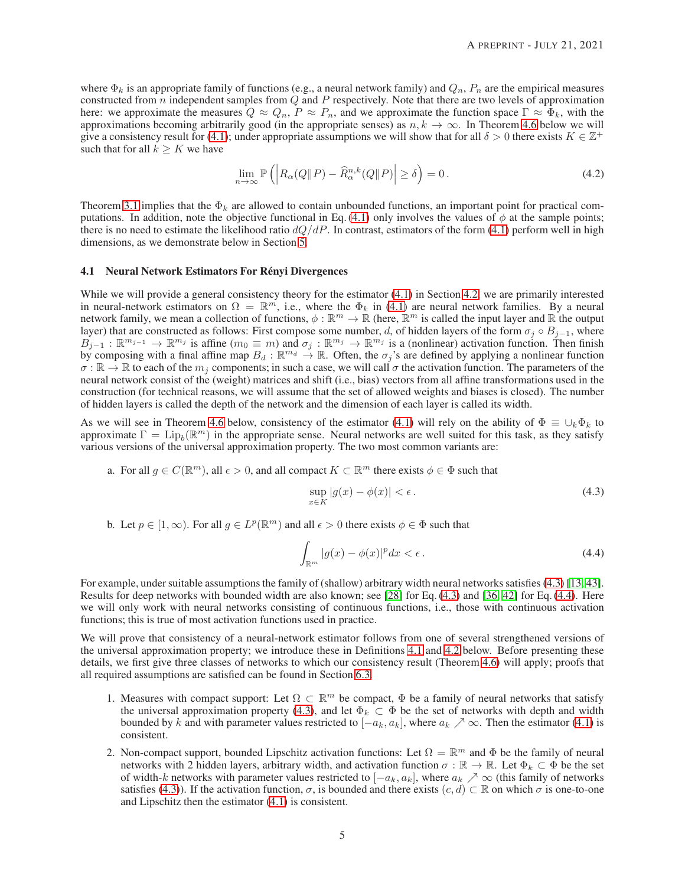where  $\Phi_k$  is an appropriate family of functions (e.g., a neural network family) and  $Q_n$ ,  $P_n$  are the empirical measures constructed from  $n$  independent samples from  $Q$  and  $P$  respectively. Note that there are two levels of approximation here: we approximate the measures  $Q \approx Q_n$ ,  $P \approx P_n$ , and we approximate the function space  $\Gamma \approx \Phi_k$ , with the approximations becoming arbitrarily good (in the appropriate senses) as  $n, k \to \infty$ . In Theorem [4.6](#page-6-0) below we will give a consistency result for [\(4.1\)](#page-3-4); under appropriate assumptions we will show that for all  $\delta > 0$  there exists  $K \in \mathbb{Z}^+$ such that for all  $k \geq K$  we have

$$
\lim_{n \to \infty} \mathbb{P}\left( \left| R_{\alpha}(Q \| P) - \widehat{R}_{\alpha}^{n,k}(Q \| P) \right| \ge \delta \right) = 0. \tag{4.2}
$$

Theorem [3.1](#page-2-0) implies that the  $\Phi_k$  are allowed to contain unbounded functions, an important point for practical com-putations. In addition, note the objective functional in Eq. [\(4.1\)](#page-3-4) only involves the values of  $\phi$  at the sample points; there is no need to estimate the likelihood ratio  $dQ/dP$ . In contrast, estimators of the form [\(4.1\)](#page-3-4) perform well in high dimensions, as we demonstrate below in Section [5.](#page-7-0)

#### <span id="page-4-0"></span>4.1 Neural Network Estimators For Rényi Divergences

While we will provide a general consistency theory for the estimator  $(4.1)$  in Section [4.2,](#page-5-3) we are primarily interested in neural-network estimators on  $\Omega = \mathbb{R}^m$ , i.e., where the  $\Phi_k$  in [\(4.1\)](#page-3-4) are neural network families. By a neural network family, we mean a collection of functions,  $\phi : \mathbb{R}^m \to \mathbb{R}$  (here,  $\mathbb{R}^m$  is called the input layer and  $\mathbb{R}$  the output layer) that are constructed as follows: First compose some number, d, of hidden layers of the form  $\sigma_j \circ B_{j-1}$ , where  $B_{j-1}: \mathbb{R}^{m_{j-1}} \to \mathbb{R}^{m_j}$  is affine  $(m_0 \equiv m)$  and  $\sigma_j: \mathbb{R}^{m_j} \to \mathbb{R}^{m_j}$  is a (nonlinear) activation function. Then finish by composing with a final affine map  $B_d : \mathbb{R}^{m_d} \to \mathbb{R}$ . Often, the  $\sigma_j$ 's are defined by applying a nonlinear function  $\sigma : \mathbb{R} \to \mathbb{R}$  to each of the  $m_j$  components; in such a case, we will call  $\sigma$  the activation function. The parameters of the neural network consist of the (weight) matrices and shift (i.e., bias) vectors from all affine transformations used in the construction (for technical reasons, we will assume that the set of allowed weights and biases is closed). The number of hidden layers is called the depth of the network and the dimension of each layer is called its width.

As we will see in Theorem [4.6](#page-6-0) below, consistency of the estimator [\(4.1\)](#page-3-4) will rely on the ability of  $\Phi \equiv \bigcup_k \Phi_k$  to approximate  $\Gamma = \text{Lip}_b(\mathbb{R}^m)$  in the appropriate sense. Neural networks are well suited for this task, as they satisfy various versions of the universal approximation property. The two most common variants are:

a. For all  $g \in C(\mathbb{R}^m)$ , all  $\epsilon > 0$ , and all compact  $K \subset \mathbb{R}^m$  there exists  $\phi \in \Phi$  such that

<span id="page-4-2"></span><span id="page-4-1"></span>
$$
\sup_{x \in K} |g(x) - \phi(x)| < \epsilon. \tag{4.3}
$$

b. Let  $p \in [1, \infty)$ . For all  $g \in L^p(\mathbb{R}^m)$  and all  $\epsilon > 0$  there exists  $\phi \in \Phi$  such that

$$
\int_{\mathbb{R}^m} |g(x) - \phi(x)|^p dx < \epsilon.
$$
\n(4.4)

For example, under suitable assumptions the family of (shallow) arbitrary width neural networks satisfies [\(4.3\)](#page-4-1) [\[13,](#page-20-10) [43\]](#page-22-13). Results for deep networks with bounded width are also known; see [\[28\]](#page-21-10) for Eq. [\(4.3\)](#page-4-1) and [36, [42\]](#page-22-14) for Eq. [\(4.4\)](#page-4-2). Here we will only work with neural networks consisting of continuous functions, i.e., those with continuous activation functions; this is true of most activation functions used in practice.

We will prove that consistency of a neural-network estimator follows from one of several strengthened versions of the universal approximation property; we introduce these in Definitions [4.1](#page-5-1) and [4.2](#page-5-2) below. Before presenting these details, we first give three classes of networks to which our consistency result (Theorem [4.6\)](#page-6-0) will apply; proofs that all required assumptions are satisfied can be found in Section [6.3.](#page-16-0)

- 1. Measures with compact support: Let  $\Omega \subset \mathbb{R}^m$  be compact,  $\Phi$  be a family of neural networks that satisfy the universal approximation property [\(4.3\)](#page-4-1), and let  $\Phi_k \subset \Phi$  be the set of networks with depth and width bounded by k and with parameter values restricted to  $[-a_k, a_k]$ , where  $a_k \nearrow \infty$ . Then the estimator [\(4.1\)](#page-3-4) is consistent.
- 2. Non-compact support, bounded Lipschitz activation functions: Let  $\Omega = \mathbb{R}^m$  and  $\Phi$  be the family of neural networks with 2 hidden layers, arbitrary width, and activation function  $\sigma : \mathbb{R} \to \mathbb{R}$ . Let  $\Phi_k \subset \Phi$  be the set of width-k networks with parameter values restricted to  $[-a_k, a_k]$ , where  $a_k \nearrow \infty$  (this family of networks satisfies [\(4.3\)](#page-4-1)). If the activation function,  $\sigma$ , is bounded and there exists  $(c, d) \subset \mathbb{R}$  on which  $\sigma$  is one-to-one and Lipschitz then the estimator [\(4.1\)](#page-3-4) is consistent.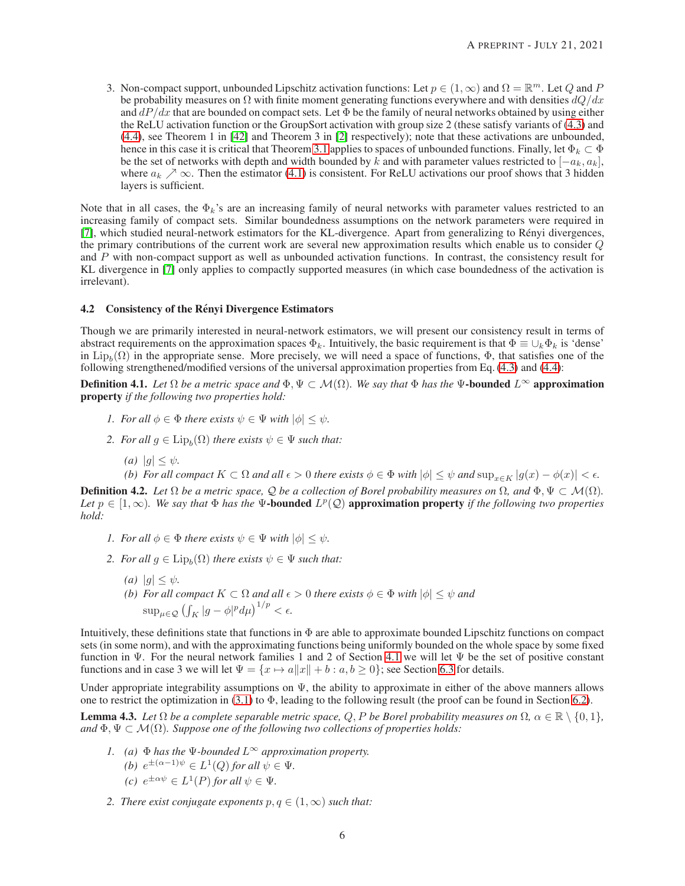3. Non-compact support, unbounded Lipschitz activation functions: Let  $p \in (1, \infty)$  and  $\Omega = \mathbb{R}^m$ . Let Q and P be probability measures on  $\Omega$  with finite moment generating functions everywhere and with densities  $dO/dx$ and  $dP/dx$  that are bounded on compact sets. Let  $\Phi$  be the family of neural networks obtained by using either the ReLU activation function or the GroupSort activation with group size 2 (these satisfy variants of [\(4.3\)](#page-4-1) and [\(4.4\)](#page-4-2), see Theorem 1 in [\[42\]](#page-22-14) and Theorem 3 in [\[2\]](#page-20-11) respectively); note that these activations are unbounded, hence in this case it is critical that Theorem [3.1](#page-2-0) applies to spaces of unbounded functions. Finally, let  $\Phi_k \subset \Phi$ be the set of networks with depth and width bounded by k and with parameter values restricted to  $[-a_k, a_k]$ , where  $a_k \nearrow \infty$ . Then the estimator [\(4.1\)](#page-3-4) is consistent. For ReLU activations our proof shows that 3 hidden layers is sufficient.

Note that in all cases, the  $\Phi_k$ 's are an increasing family of neural networks with parameter values restricted to an increasing family of compact sets. Similar boundedness assumptions on the network parameters were required in [\[7\]](#page-20-2), which studied neural-network estimators for the KL-divergence. Apart from generalizing to Rényi divergences, the primary contributions of the current work are several new approximation results which enable us to consider Q and  $\overline{P}$  with non-compact support as well as unbounded activation functions. In contrast, the consistency result for KL divergence in [\[7\]](#page-20-2) only applies to compactly supported measures (in which case boundedness of the activation is irrelevant).

## <span id="page-5-3"></span>4.2 Consistency of the Rényi Divergence Estimators

Though we are primarily interested in neural-network estimators, we will present our consistency result in terms of abstract requirements on the approximation spaces  $\Phi_k$ . Intuitively, the basic requirement is that  $\Phi \equiv \bigcup_k \Phi_k$  is 'dense' in  $\text{Lip}_b(\Omega)$  in the appropriate sense. More precisely, we will need a space of functions,  $\Phi$ , that satisfies one of the following strengthened/modified versions of the universal approximation properties from Eq. [\(4.3\)](#page-4-1) and [\(4.4\)](#page-4-2):

<span id="page-5-1"></span>**Definition 4.1.** *Let*  $\Omega$  *be a metric space and*  $\Phi$ ,  $\Psi \subset \mathcal{M}(\Omega)$ *. We say that*  $\Phi$  *has the*  $\Psi$ -**bounded**  $L^{\infty}$  approximation property *if the following two properties hold:*

- *1. For all*  $\phi \in \Phi$  *there exists*  $\psi \in \Psi$  *with*  $|\phi| < \psi$ *.*
- 2. For all  $g \in \text{Lip}_b(\Omega)$  there exists  $\psi \in \Psi$  such that:
	- *(a)*  $|g| \leq \psi$ .
	- *(b) For all compact*  $K \subset \Omega$  *and all*  $\epsilon > 0$  *there exists*  $\phi \in \Phi$  *with*  $|\phi| \leq \psi$  *and*  $\sup_{x \in K} |g(x) \phi(x)| < \epsilon$ *.*

<span id="page-5-2"></span>**Definition 4.2.** *Let*  $\Omega$  *be a metric space,*  $\mathcal{Q}$  *be a collection of Borel probability measures on*  $\Omega$ *, and*  $\Phi$ *,*  $\Psi \subset \mathcal{M}(\Omega)$ *.* Let  $p \in [1, \infty)$ . We say that  $\Phi$  has the  $\Psi$ -bounded  $L^p(\mathcal{Q})$  approximation property *if the following two properties hold:*

- *1. For all*  $\phi \in \Phi$  *there exists*  $\psi \in \Psi$  *with*  $|\phi| < \psi$ *.*
- 2. For all  $g \in \text{Lip}_b(\Omega)$  there exists  $\psi \in \Psi$  such that:
	- *(a)*  $|q| < \psi$ *.*
	- *(b)* For all compact  $K \subset \Omega$  and all  $\epsilon > 0$  there exists  $\phi \in \Phi$  with  $|\phi| \leq \psi$  and  $\sup_{\mu \in \mathcal{Q}} \left( \int_K |g - \phi|^p d\mu \right)^{1/p} < \epsilon.$

Intuitively, these definitions state that functions in Φ are able to approximate bounded Lipschitz functions on compact sets (in some norm), and with the approximating functions being uniformly bounded on the whole space by some fixed function in  $\Psi$ . For the neural network families 1 and 2 of Section [4.1](#page-4-0) we will let  $\Psi$  be the set of positive constant functions and in case 3 we will let  $\Psi = \{x \mapsto a||x|| + b : a, b \ge 0\}$ ; see Section [6.3](#page-16-0) for details.

Under appropriate integrability assumptions on  $\Psi$ , the ability to approximate in either of the above manners allows one to restrict the optimization in [\(3.1\)](#page-2-4) to  $\Phi$ , leading to the following result (the proof can be found in Section [6.2\)](#page-13-0).

<span id="page-5-0"></span>**Lemma 4.3.** Let Ω be a complete separable metric space, Q, P be Borel probability measures on  $Ω$ ,  $α ∈ ℝ \ \{0, 1\}$ , *and*  $\Phi$ ,  $\Psi \subset \mathcal{M}(\Omega)$ *. Suppose one of the following two collections of properties holds:* 

- *1. (a)* Φ *has the* Ψ*-bounded* L<sup>∞</sup> *approximation property. (b)*  $e^{\pm(\alpha-1)\psi} \in L^1(Q)$  for all  $\psi \in \Psi$ . *(c)*  $e^{\pm \alpha \psi} \in L^1(P)$  *for all*  $\psi \in \Psi$ *.*
- *2. There exist conjugate exponents*  $p, q \in (1, \infty)$  *such that:*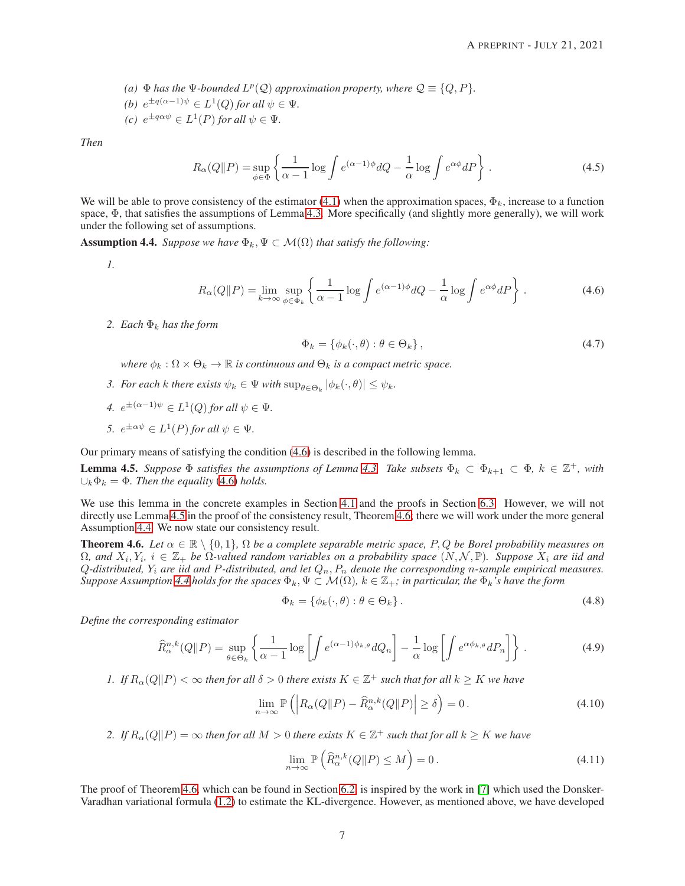- (a)  $\Phi$  *has the*  $\Psi$ *-bounded*  $L^p(Q)$  *approximation property, where*  $Q \equiv \{Q, P\}$ *.*
- *(b)*  $e^{\pm q(\alpha-1)\psi} \in L^1(Q)$  for all  $\psi \in \Psi$ .
- (*c*)  $e^{\pm q \alpha \psi} \in L^1(P)$  *for all*  $\psi \in \Psi$ *.*

*Then*

$$
R_{\alpha}(Q||P) = \sup_{\phi \in \Phi} \left\{ \frac{1}{\alpha - 1} \log \int e^{(\alpha - 1)\phi} dQ - \frac{1}{\alpha} \log \int e^{\alpha \phi} dP \right\}.
$$
 (4.5)

We will be able to prove consistency of the estimator [\(4.1\)](#page-3-4) when the approximation spaces,  $\Phi_k$ , increase to a function space,  $\Phi$ , that satisfies the assumptions of Lemma [4.3.](#page-5-0) More specifically (and slightly more generally), we will work under the following set of assumptions.

<span id="page-6-3"></span>**Assumption 4.4.** *Suppose we have*  $\Phi_k$ ,  $\Psi \subset \mathcal{M}(\Omega)$  *that satisfy the following:* 

*1.*

$$
R_{\alpha}(Q||P) = \lim_{k \to \infty} \sup_{\phi \in \Phi_k} \left\{ \frac{1}{\alpha - 1} \log \int e^{(\alpha - 1)\phi} dQ - \frac{1}{\alpha} \log \int e^{\alpha \phi} dP \right\}.
$$
 (4.6)

*2.* Each  $\Phi_k$  has the form

<span id="page-6-5"></span><span id="page-6-1"></span>
$$
\Phi_k = \{ \phi_k(\cdot, \theta) : \theta \in \Theta_k \},\tag{4.7}
$$

*where*  $\phi_k : \Omega \times \Theta_k \to \mathbb{R}$  *is continuous and*  $\Theta_k$  *is a compact metric space.* 

- *3. For each k there exists*  $\psi_k \in \Psi$  *with*  $\sup_{\theta \in \Theta_k} |\phi_k(\cdot, \theta)| \leq \psi_k$ .
- 4.  $e^{\pm(\alpha-1)\psi} \in L^1(Q)$  for all  $\psi \in \Psi$ .
- *5.*  $e^{\pm \alpha \psi} \in L^1(P)$  *for all*  $\psi \in \Psi$ *.*

Our primary means of satisfying the condition [\(4.6\)](#page-6-1) is described in the following lemma.

<span id="page-6-2"></span>**Lemma 4.5.** Suppose  $\Phi$  satisfies the assumptions of Lemma [4.3.](#page-5-0) Take subsets  $\Phi_k \subset \Phi_{k+1} \subset \Phi$ ,  $k \in \mathbb{Z}^+$ , with  $\bigcup_k \Phi_k = \Phi$ . Then the equality [\(4.6\)](#page-6-1) holds.

We use this lemma in the concrete examples in Section [4.1](#page-4-0) and the proofs in Section [6.3.](#page-16-0) However, we will not directly use Lemma [4.5](#page-6-2) in the proof of the consistency result, Theorem [4.6;](#page-6-0) there we will work under the more general Assumption [4.4.](#page-6-3) We now state our consistency result.

<span id="page-6-0"></span>**Theorem 4.6.** *Let*  $\alpha \in \mathbb{R} \setminus \{0,1\}$ ,  $\Omega$  *be a complete separable metric space,* P, Q *be Borel probability measures on*  $\Omega$ , and  $X_i, Y_i, i \in \mathbb{Z}_+$  be  $\Omega$ -valued random variables on a probability space  $(N, \mathcal{N}, \mathbb{P})$ . Suppose  $X_i$  are iid and Q*-distributed,* Y<sup>i</sup> *are iid and* P*-distributed, and let* Qn, P<sup>n</sup> *denote the corresponding* n*-sample empirical measures. Suppose Assumption* [4.4](#page-6-3) *holds for the spaces*  $\Phi_k$ ,  $\Psi \subset \mathcal{M}(\Omega)$ ,  $k \in \mathbb{Z}_+$ *; in particular, the*  $\Phi_k$ *'s have the form* 

<span id="page-6-4"></span>
$$
\Phi_k = \{ \phi_k(\cdot, \theta) : \theta \in \Theta_k \}.
$$
\n(4.8)

*Define the corresponding estimator*

$$
\widehat{R}_{\alpha}^{n,k}(Q||P) = \sup_{\theta \in \Theta_k} \left\{ \frac{1}{\alpha - 1} \log \left[ \int e^{(\alpha - 1)\phi_{k,\theta}} dQ_n \right] - \frac{1}{\alpha} \log \left[ \int e^{\alpha \phi_{k,\theta}} dP_n \right] \right\}.
$$
 (4.9)

*1.* If  $R_{\alpha}(Q||P) < \infty$  then for all  $\delta > 0$  there exists  $K \in \mathbb{Z}^+$  such that for all  $k \geq K$  we have

$$
\lim_{n \to \infty} \mathbb{P}\left( \left| R_{\alpha}(Q \| P) - \widehat{R}_{\alpha}^{n,k}(Q \| P) \right| \ge \delta \right) = 0. \tag{4.10}
$$

2. If  $R_{\alpha}(Q||P) = \infty$  *then for all*  $M > 0$  *there exists*  $K \in \mathbb{Z}^+$  *such that for all*  $k \geq K$  *we have* 

$$
\lim_{n \to \infty} \mathbb{P}\left(\widehat{R}_{\alpha}^{n,k}(Q \| P) \le M\right) = 0. \tag{4.11}
$$

The proof of Theorem [4.6,](#page-6-0) which can be found in Section [6.2,](#page-13-0) is inspired by the work in [\[7\]](#page-20-2) which used the Donsker-Varadhan variational formula [\(1.2\)](#page-1-1) to estimate the KL-divergence. However, as mentioned above, we have developed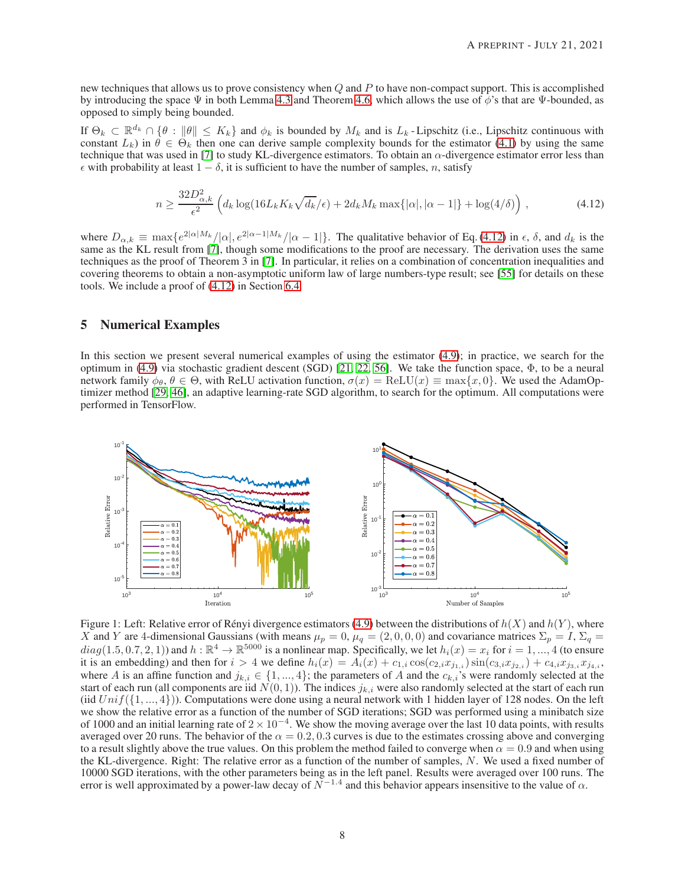new techniques that allows us to prove consistency when  $Q$  and  $P$  to have non-compact support. This is accomplished by introducing the space  $\Psi$  in both Lemma [4.3](#page-5-0) and Theorem [4.6,](#page-6-0) which allows the use of  $\phi$ 's that are  $\Psi$ -bounded, as opposed to simply being bounded.

If  $\Theta_k \subset \mathbb{R}^{d_k} \cap \{\theta : ||\theta|| \leq K_k\}$  and  $\phi_k$  is bounded by  $M_k$  and is  $L_k$ -Lipschitz (i.e., Lipschitz continuous with constant  $L_k$ ) in  $\theta \in \Theta_k$  then one can derive sample complexity bounds for the estimator [\(4.1\)](#page-3-4) by using the same technique that was used in [\[7\]](#page-20-2) to study KL-divergence estimators. To obtain an  $\alpha$ -divergence estimator error less than  $\epsilon$  with probability at least  $1 - \delta$ , it is sufficient to have the number of samples, n, satisfy

<span id="page-7-1"></span>
$$
n \ge \frac{32D_{\alpha,k}^2}{\epsilon^2} \left( d_k \log(16L_k K_k \sqrt{d_k}/\epsilon) + 2d_k M_k \max\{|\alpha|, |\alpha - 1|\} + \log(4/\delta) \right),\tag{4.12}
$$

where  $D_{\alpha,k} \equiv \max\{e^{2|\alpha|M_k}/|\alpha|, e^{2|\alpha-1|M_k}/|\alpha-1|\}$ . The qualitative behavior of Eq. [\(4.12\)](#page-7-1) in  $\epsilon$ ,  $\delta$ , and  $d_k$  is the same as the KL result from [\[7\]](#page-20-2), though some modifications to the proof are necessary. The derivation techniques as the proof of Theorem 3 in [\[7\]](#page-20-2). In particular, it relies on a combination of concentration inequalities and covering theorems to obtain a non-asymptotic uniform law of large numbers-type result; see [\[55\]](#page-22-15) for details on these tools. We include a proof of [\(4.12\)](#page-7-1) in Section [6.4.](#page-18-0)

## <span id="page-7-0"></span>5 Numerical Examples

In this section we present several numerical examples of using the estimator [\(4.9\)](#page-6-4); in practice, we search for the optimum in [\(4.9\)](#page-6-4) via stochastic gradient descent (SGD) [21, [22,](#page-21-11) 56]. We take the function space, Φ, to be a neural network family  $\phi_{\theta}$ ,  $\theta \in \Theta$ , with ReLU activation function,  $\sigma(x) = \text{ReLU}(x) \equiv \max\{x, 0\}$ . We used the AdamOptimizer method [\[29,](#page-21-12) [46\]](#page-22-16), an adaptive learning-rate SGD algorithm, to search for the optimum. All computations were performed in TensorFlow.



<span id="page-7-2"></span>Figure 1: Left: Relative error of Rényi divergence estimators [\(4.9\)](#page-6-4) between the distributions of  $h(X)$  and  $h(Y)$ , where X and Y are 4-dimensional Gaussians (with means  $\mu_p = 0$ ,  $\mu_q = (2, 0, 0, 0)$  and covariance matrices  $\Sigma_p = I$ ,  $\Sigma_q =$  $diag(1.5, 0.7, 2, 1)$  and  $h : \mathbb{R}^4 \to \mathbb{R}^{5000}$  is a nonlinear map. Specifically, we let  $h_i(x) = x_i$  for  $i = 1, ..., 4$  (to ensure it is an embedding) and then for  $i > 4$  we define  $h_i(x) = A_i(x) + c_{1,i} \cos(c_{2,i} x_{j_{1,i}}) \sin(c_{3,i} x_{j_{2,i}}) + c_{4,i} x_{j_{3,i}} x_{j_{4,i}}$ , where A is an affine function and  $j_{k,i} \in \{1, ..., 4\}$ ; the parameters of A and the  $c_{k,i}$ 's were randomly selected at the start of each run (all components are iid  $N(0, 1)$ ). The indices  $j_{k,i}$  were also randomly selected at the start of each run (iid  $Unif({1,..., 4})$ ). Computations were done using a neural network with 1 hidden layer of 128 nodes. On the left we show the relative error as a function of the number of SGD iterations; SGD was performed using a minibatch size of 1000 and an initial learning rate of  $2 \times 10^{-4}$ . We show the moving average over the last 10 data points, with results averaged over 20 runs. The behavior of the  $\alpha = 0.2, 0.3$  curves is due to the estimates crossing above and converging to a result slightly above the true values. On this problem the method failed to converge when  $\alpha = 0.9$  and when using the KL-divergence. Right: The relative error as a function of the number of samples, N. We used a fixed number of 10000 SGD iterations, with the other parameters being as in the left panel. Results were averaged over 100 runs. The error is well approximated by a power-law decay of  $N^{-1.4}$  and this behavior appears insensitive to the value of  $\alpha$ .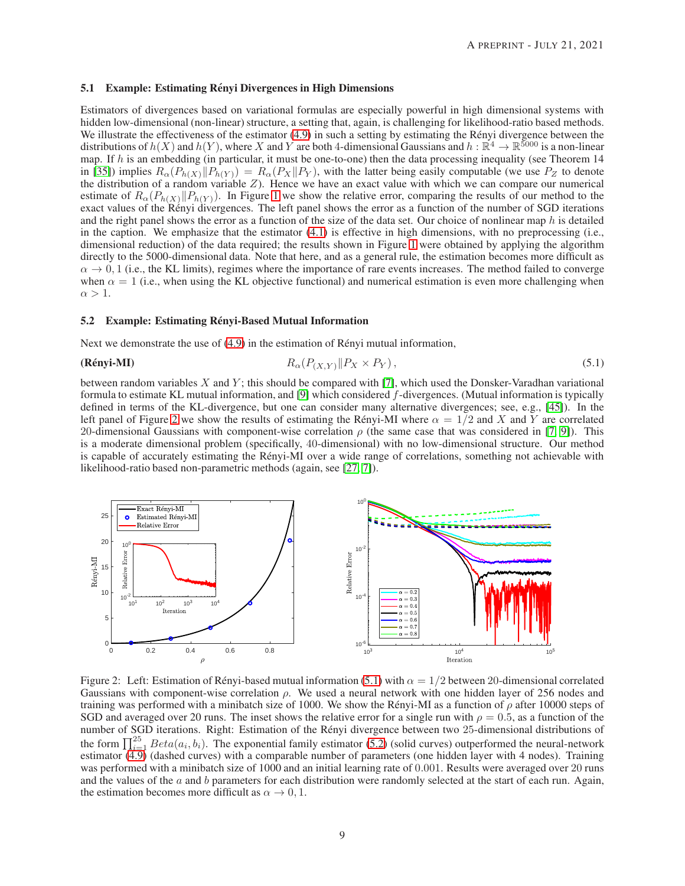#### <span id="page-8-0"></span>5.1 Example: Estimating Rényi Divergences in High Dimensions

Estimators of divergences based on variational formulas are especially powerful in high dimensional systems with hidden low-dimensional (non-linear) structure, a setting that, again, is challenging for likelihood-ratio based methods. We illustrate the effectiveness of the estimator  $(4.9)$  in such a setting by estimating the Rényi divergence between the distributions of  $h(X)$  and  $h(Y)$ , where X and Y are both 4-dimensional Gaussians and  $h : \mathbb{R}^4 \to \mathbb{R}^{5000}$  is a non-linear map. If  $h$  is an embedding (in particular, it must be one-to-one) then the data processing inequality (see Theorem 14 in [\[35\]](#page-22-10)) implies  $R_{\alpha}(P_{h(X)}||P_{h(Y)}) = R_{\alpha}(P_X||P_Y)$ , with the latter being easily computable (we use  $P_Z$  to denote the distribution of a random variable Z). Hence we have an exact value with which we can compare our numerical estimate of  $R_{\alpha}(P_{h(X)}||P_{h(Y)})$ . In Figure [1](#page-7-2) we show the relative error, comparing the results of our method to the exact values of the Rényi divergences. The left panel shows the error as a function of the number of SGD i and the right panel shows the error as a function of the size of the data set. Our choice of nonlinear map  $h$  is detailed in the caption. We emphasize that the estimator  $(4.1)$  is effective in high dimensions, with no preprocessing (i.e., dimensional reduction) of the data required; the results shown in Figure [1](#page-7-2) were obtained by applying the algorithm directly to the 5000-dimensional data. Note that here, and as a general rule, the estimation becomes more difficult as  $\alpha \to 0, 1$  (i.e., the KL limits), regimes where the importance of rare events increases. The method failed to converge when  $\alpha = 1$  (i.e., when using the KL objective functional) and numerical estimation is even more challenging when  $\alpha > 1$ .

#### 5.2 Example: Estimating Rényi-Based Mutual Information

Next we demonstrate the use of  $(4.9)$  in the estimation of Rényi mutual information,

<span id="page-8-2"></span>(Rényi-MI) 
$$
R_{\alpha}(P_{(X,Y)}||P_X \times P_Y), \qquad (5.1)
$$

between random variables  $X$  and  $Y$ ; this should be compared with [\[7\]](#page-20-2), which used the Donsker-Varadhan variational formula to estimate KL mutual information, and [\[9\]](#page-20-3) which considered f-divergences. (Mutual information is typically defined in terms of the KL-divergence, but one can consider many alternative divergences; see, e.g., [\[45\]](#page-22-17)). In the left panel of Figure [2](#page-8-1) we show the results of estimating the Rényi-MI where  $\alpha = 1/2$  and X and Y are correlated 20-dimensional Gaussians with component-wise correlation  $\rho$  (the same case that was considered in [\[7,](#page-20-2) [9\]](#page-20-3)). This is a moderate dimensional problem (specifically, 40-dimensional) with no low-dimensional structure. Our method is capable of accurately estimating the Rényi-MI over a wide range of correlations, something not achievable with likelihood-ratio based non-parametric methods (again, see [\[27,](#page-21-5) [7\]](#page-20-2)).



<span id="page-8-1"></span>Figure 2: Left: Estimation of Rényi-based mutual information [\(5.1\)](#page-8-2) with  $\alpha = 1/2$  between 20-dimensional correlated Gaussians with component-wise correlation  $\rho$ . We used a neural network with one hidden layer of 256 nodes and training was performed with a minibatch size of 1000. We show the Rényi-MI as a function of  $\rho$  after 10000 steps of SGD and averaged over 20 runs. The inset shows the relative error for a single run with  $\rho = 0.5$ , as a function of the number of SGD iterations. Right: Estimation of the Rényi divergence between two 25-dimensional distributions of the form  $\prod_{i=1}^{25} Beta(a_i, b_i)$ . The exponential family estimator [\(5.2\)](#page-9-2) (solid curves) outperformed the neural-network estimator  $\overline{(4.9)}$  (dashed curves) with a comparable number of parameters (one hidden layer with 4 nodes). Training was performed with a minibatch size of 1000 and an initial learning rate of 0.001. Results were averaged over 20 runs and the values of the  $a$  and  $b$  parameters for each distribution were randomly selected at the start of each run. Again, the estimation becomes more difficult as  $\alpha \to 0, 1$ .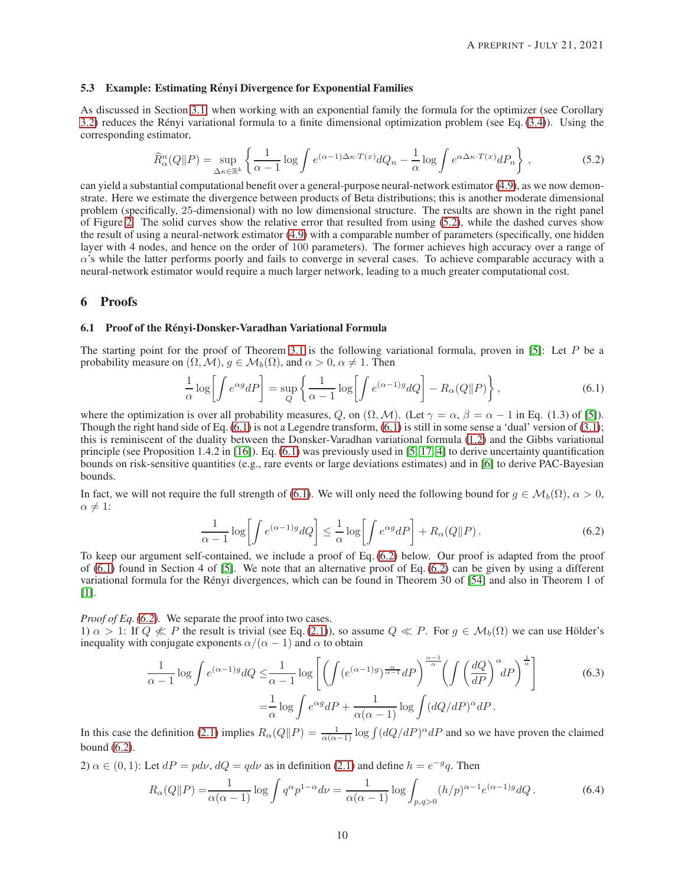#### <span id="page-9-1"></span>5.3 Example: Estimating Rényi Divergence for Exponential Families

As discussed in Section [3.1,](#page-3-1) when working with an exponential family the formula for the optimizer (see Corollary [3.2\)](#page-2-1) reduces the Rényi variational formula to a finite dimensional optimization problem (see Eq. [\(3.4\)](#page-3-3)). Using the corresponding estimator,

<span id="page-9-2"></span>
$$
\widehat{R}^n_\alpha(Q\|P) = \sup_{\Delta\kappa \in \mathbb{R}^k} \left\{ \frac{1}{\alpha - 1} \log \int e^{(\alpha - 1)\Delta\kappa \cdot T(x)} dQ_n - \frac{1}{\alpha} \log \int e^{\alpha \Delta\kappa \cdot T(x)} dP_n \right\},\tag{5.2}
$$

can yield a substantial computational benefit over a general-purpose neural-network estimator [\(4.9\)](#page-6-4), as we now demonstrate. Here we estimate the divergence between products of Beta distributions; this is another moderate dimensional problem (specifically, 25-dimensional) with no low dimensional structure. The results are shown in the right panel of Figure [2.](#page-8-1) The solid curves show the relative error that resulted from using [\(5.2\)](#page-9-2), while the dashed curves show the result of using a neural-network estimator [\(4.9\)](#page-6-4) with a comparable number of parameters (specifically, one hidden layer with 4 nodes, and hence on the order of 100 parameters). The former achieves high accuracy over a range of  $\alpha$ 's while the latter performs poorly and fails to converge in several cases. To achieve comparable accuracy with a neural-network estimator would require a much larger network, leading to a much greater computational cost.

## <span id="page-9-0"></span>6 Proofs

#### 6.1 Proof of the Rényi-Donsker-Varadhan Variational Formula

The starting point for the proof of Theorem [3.1](#page-2-0) is the following variational formula, proven in [\[5\]](#page-20-5): Let  $P$  be a probability measure on  $(\Omega, \mathcal{M})$ ,  $g \in \mathcal{M}_b(\Omega)$ , and  $\alpha > 0$ ,  $\alpha \neq 1$ . Then

<span id="page-9-3"></span>
$$
\frac{1}{\alpha} \log \left[ \int e^{\alpha g} dP \right] = \sup_{Q} \left\{ \frac{1}{\alpha - 1} \log \left[ \int e^{(\alpha - 1)g} dQ \right] - R_{\alpha}(Q \| P) \right\},\tag{6.1}
$$

where the optimization is over all probability measures, Q, on  $(\Omega, \mathcal{M})$ . (Let  $\gamma = \alpha$ ,  $\beta = \alpha - 1$  in Eq. (1.3) of [\[5\]](#page-20-5)). Though the right hand side of Eq.  $(6.1)$  is not a Legendre transform,  $(6.1)$  is still in some sense a 'dual' version of  $(3.1)$ ; this is reminiscent of the duality between the Donsker-Varadhan variational formula [\(1.2\)](#page-1-1) and the Gibbs variational principle (see Proposition 1.4.2 in [\[16\]](#page-21-7)). Eq.  $(6.1)$  was previously used in [\[5,](#page-20-5) 17, [4\]](#page-20-12) to derive uncertainty quantification bounds on risk-sensitive quantities (e.g., rare events or large deviations estimates) and in [\[6\]](#page-20-13) to derive PAC-Bayesian bounds.

In fact, we will not require the full strength of [\(6.1\)](#page-9-3). We will only need the following bound for  $q \in M_b(\Omega)$ ,  $\alpha > 0$ ,  $\alpha \neq 1$ :

<span id="page-9-4"></span>
$$
\frac{1}{\alpha - 1} \log \left[ \int e^{(\alpha - 1)g} dQ \right] \le \frac{1}{\alpha} \log \left[ \int e^{\alpha g} dP \right] + R_{\alpha}(Q \| P). \tag{6.2}
$$

To keep our argument self-contained, we include a proof of Eq. [\(6.2\)](#page-9-4) below. Our proof is adapted from the proof of  $(6.1)$  found in Section 4 of [\[5\]](#page-20-5). We note that an alternative proof of Eq.  $(6.2)$  can be given by using a different variational formula for the Rényi divergences, which can be found in Theorem 30 of [\[54\]](#page-22-8) and also in Theorem 1 of [\[1\]](#page-20-6).

*Proof of Eq. [\(6.2\)](#page-9-4).* We separate the proof into two cases.

1)  $\alpha > 1$ : If  $Q \nleq P$  the result is trivial (see Eq. [\(2.1\)](#page-2-2)), so assume  $Q \nleq P$ . For  $g \in M_b(\Omega)$  we can use Hölder's inequality with conjugate exponents  $\alpha/(\alpha - 1)$  and  $\alpha$  to obtain

$$
\frac{1}{\alpha - 1} \log \int e^{(\alpha - 1)g} dQ \le \frac{1}{\alpha - 1} \log \left[ \left( \int (e^{(\alpha - 1)g})^{\frac{\alpha}{\alpha - 1}} dP \right)^{\frac{\alpha - 1}{\alpha}} \left( \int \left( \frac{dQ}{dP} \right)^{\alpha} dP \right)^{\frac{1}{\alpha}} \right]
$$
\n
$$
= \frac{1}{\alpha} \log \int e^{\alpha g} dP + \frac{1}{\alpha(\alpha - 1)} \log \int (dQ/dP)^{\alpha} dP.
$$
\n(6.3)

In this case the definition [\(2.1\)](#page-2-2) implies  $R_\alpha(Q||P) = \frac{1}{\alpha(\alpha-1)} \log \int (dQ/dP)^\alpha dP$  and so we have proven the claimed bound [\(6.2\)](#page-9-4).

2) 
$$
\alpha \in (0, 1)
$$
: Let  $dP = pd\nu$ ,  $dQ = qd\nu$  as in definition (2.1) and define  $h = e^{-g}q$ . Then

<span id="page-9-5"></span>
$$
R_{\alpha}(Q||P) = \frac{1}{\alpha(\alpha - 1)} \log \int q^{\alpha} p^{1-\alpha} d\nu = \frac{1}{\alpha(\alpha - 1)} \log \int_{p,q>0} (h/p)^{\alpha - 1} e^{(\alpha - 1)g} dQ.
$$
 (6.4)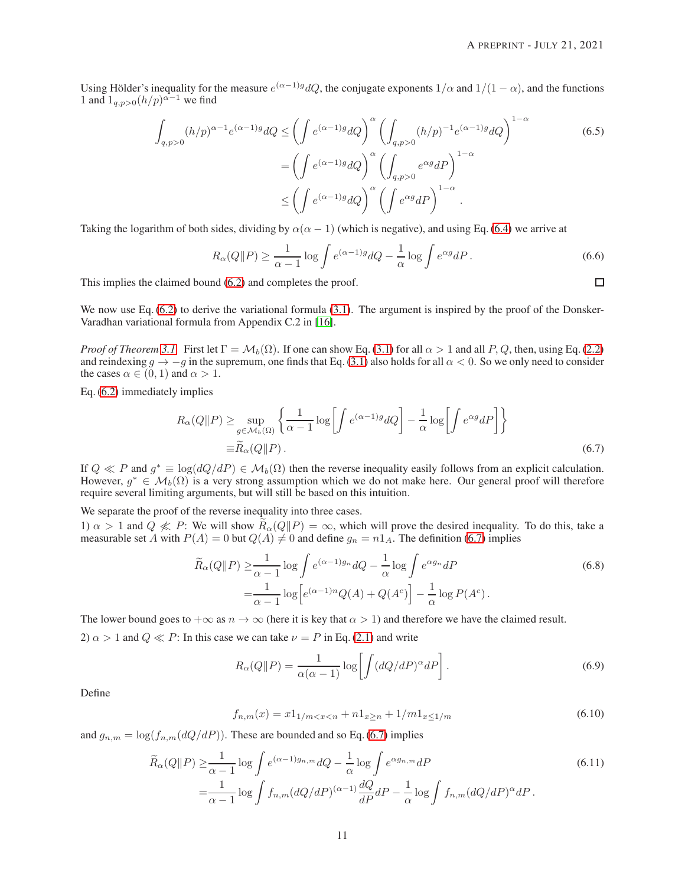Using Hölder's inequality for the measure  $e^{(\alpha-1)g}dQ$ , the conjugate exponents  $1/\alpha$  and  $1/(1-\alpha)$ , and the functions 1 and  $1_{q,p>0}(h/p)^{\alpha-1}$  we find

$$
\int_{q,p>0} (h/p)^{\alpha-1} e^{(\alpha-1)g} dQ \le \left( \int e^{(\alpha-1)g} dQ \right)^{\alpha} \left( \int_{q,p>0} (h/p)^{-1} e^{(\alpha-1)g} dQ \right)^{1-\alpha}
$$
\n
$$
= \left( \int e^{(\alpha-1)g} dQ \right)^{\alpha} \left( \int_{q,p>0} e^{\alpha g} dP \right)^{1-\alpha}
$$
\n
$$
\le \left( \int e^{(\alpha-1)g} dQ \right)^{\alpha} \left( \int e^{\alpha g} dP \right)^{1-\alpha}.
$$
\n(6.5)

Taking the logarithm of both sides, dividing by  $\alpha(\alpha - 1)$  (which is negative), and using Eq. [\(6.4\)](#page-9-5) we arrive at

$$
R_{\alpha}(Q||P) \ge \frac{1}{\alpha - 1} \log \int e^{(\alpha - 1)g} dQ - \frac{1}{\alpha} \log \int e^{\alpha g} dP.
$$
 (6.6)

This implies the claimed bound [\(6.2\)](#page-9-4) and completes the proof.

We now use Eq. [\(6.2\)](#page-9-4) to derive the variational formula [\(3.1\)](#page-2-4). The argument is inspired by the proof of the Donsker-Varadhan variational formula from Appendix C.2 in [\[16\]](#page-21-7).

*Proof of Theorem* [3.1.](#page-2-0) First let  $\Gamma = \mathcal{M}_b(\Omega)$ . If one can show Eq. [\(3.1\)](#page-2-4) for all  $\alpha > 1$  and all P, Q, then, using Eq. [\(2.2\)](#page-2-3) and reindexing  $g \to -g$  in the supremum, one finds that Eq. [\(3.1\)](#page-2-4) also holds for all  $\alpha < 0$ . So we only need to consider the cases  $\alpha \in (0, 1)$  and  $\alpha > 1$ .

Eq. [\(6.2\)](#page-9-4) immediately implies

$$
R_{\alpha}(Q||P) \ge \sup_{g \in \mathcal{M}_b(\Omega)} \left\{ \frac{1}{\alpha - 1} \log \left[ \int e^{(\alpha - 1)g} dQ \right] - \frac{1}{\alpha} \log \left[ \int e^{\alpha g} dP \right] \right\}
$$
  

$$
\equiv \widetilde{R}_{\alpha}(Q||P).
$$
 (6.7)

If  $Q \ll P$  and  $g^* \equiv \log(dQ/dP) \in M_b(\Omega)$  then the reverse inequality easily follows from an explicit calculation. However,  $g^* \in \mathcal{M}_b(\Omega)$  is a very strong assumption which we do not make here. Our general proof will therefore require several limiting arguments, but will still be based on this intuition.

We separate the proof of the reverse inequality into three cases.

1)  $\alpha > 1$  and  $Q \nleq P$ : We will show  $R_{\alpha}(Q||P) = \infty$ , which will prove the desired inequality. To do this, take a measurable set A with  $P(A) = 0$  but  $Q(A) \neq 0$  and define  $g_n = n1_A$ . The definition [\(6.7\)](#page-10-0) implies

$$
\widetilde{R}_{\alpha}(Q||P) \ge \frac{1}{\alpha - 1} \log \int e^{(\alpha - 1)g_n} dQ - \frac{1}{\alpha} \log \int e^{\alpha g_n} dP
$$
\n
$$
= \frac{1}{\alpha - 1} \log \left[ e^{(\alpha - 1)n} Q(A) + Q(A^c) \right] - \frac{1}{\alpha} \log P(A^c).
$$
\n(6.8)

The lower bound goes to  $+\infty$  as  $n \to \infty$  (here it is key that  $\alpha > 1$ ) and therefore we have the claimed result.

2)  $\alpha > 1$  and  $Q \ll P$ : In this case we can take  $\nu = P$  in Eq. [\(2.1\)](#page-2-2) and write

<span id="page-10-2"></span>
$$
R_{\alpha}(Q||P) = \frac{1}{\alpha(\alpha - 1)} \log \left[ \int (dQ/dP)^{\alpha} dP \right].
$$
 (6.9)

Define

<span id="page-10-1"></span>
$$
f_{n,m}(x) = x1_{1/m < x < n} + n1_{x \ge n} + 1/m1_{x \le 1/m} \tag{6.10}
$$

and  $g_{n,m} = \log(f_{n,m}(dQ/dP))$ . These are bounded and so Eq. [\(6.7\)](#page-10-0) implies

$$
\widetilde{R}_{\alpha}(Q||P) \geq \frac{1}{\alpha - 1} \log \int e^{(\alpha - 1)g_{n,m}} dQ - \frac{1}{\alpha} \log \int e^{\alpha g_{n,m}} dP
$$
\n
$$
= \frac{1}{\alpha - 1} \log \int f_{n,m}(dQ/dP)^{(\alpha - 1)} \frac{dQ}{dP} dP - \frac{1}{\alpha} \log \int f_{n,m}(dQ/dP)^{\alpha} dP.
$$
\n(6.11)

<span id="page-10-0"></span> $\Box$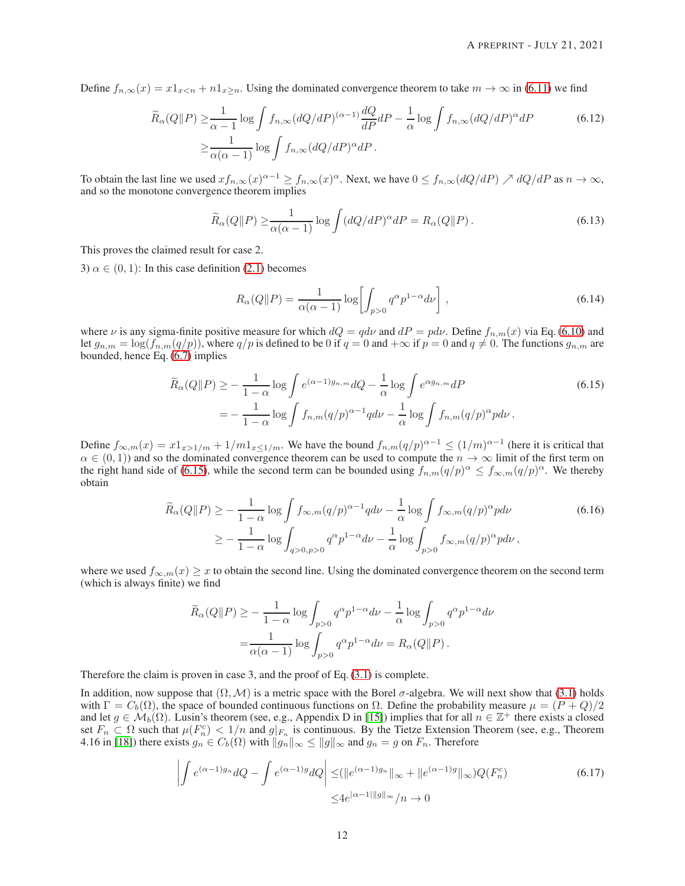Define  $f_{n,\infty}(x) = x1_{x\leq n} + n1_{x\geq n}$ . Using the dominated convergence theorem to take  $m \to \infty$  in [\(6.11\)](#page-10-1) we find

$$
\widetilde{R}_{\alpha}(Q||P) \ge \frac{1}{\alpha - 1} \log \int f_{n,\infty}(dQ/dP)^{(\alpha - 1)} \frac{dQ}{dP} dP - \frac{1}{\alpha} \log \int f_{n,\infty}(dQ/dP)^{\alpha} dP
$$
\n
$$
\ge \frac{1}{\alpha(\alpha - 1)} \log \int f_{n,\infty}(dQ/dP)^{\alpha} dP.
$$
\n(6.12)

To obtain the last line we used  $xf_{n,\infty}(x)^{\alpha-1} \ge f_{n,\infty}(x)^{\alpha}$ . Next, we have  $0 \le f_{n,\infty}(dQ/dP) \nearrow dQ/dP$  as  $n \to \infty$ , and so the monotone convergence theorem implies

$$
\widetilde{R}_{\alpha}(Q||P) \ge \frac{1}{\alpha(\alpha - 1)} \log \int (dQ/dP)^{\alpha} dP = R_{\alpha}(Q||P).
$$
\n(6.13)

This proves the claimed result for case 2.

3)  $\alpha \in (0, 1)$ : In this case definition [\(2.1\)](#page-2-2) becomes

<span id="page-11-1"></span>
$$
R_{\alpha}(Q||P) = \frac{1}{\alpha(\alpha - 1)} \log \left[ \int_{p>0} q^{\alpha} p^{1-\alpha} d\nu \right],
$$
\n(6.14)

where  $\nu$  is any sigma-finite positive measure for which  $dQ = qdv$  and  $dP = pd\nu$ . Define  $f_{n,m}(x)$  via Eq. [\(6.10\)](#page-10-2) and let  $g_{n,m} = \log(f_{n,m}(q/p))$ , where  $q/p$  is defined to be 0 if  $q = 0$  and  $+\infty$  if  $p = 0$  and  $q \neq 0$ . The functions  $g_{n,m}$  are bounded, hence Eq. [\(6.7\)](#page-10-0) implies

$$
\widetilde{R}_{\alpha}(Q||P) \ge -\frac{1}{1-\alpha} \log \int e^{(\alpha-1)g_{n,m}} dQ - \frac{1}{\alpha} \log \int e^{\alpha g_{n,m}} dP
$$
\n
$$
= -\frac{1}{1-\alpha} \log \int f_{n,m}(q/p)^{\alpha-1} q d\nu - \frac{1}{\alpha} \log \int f_{n,m}(q/p)^{\alpha} p d\nu.
$$
\n(6.15)

Define  $f_{\infty,m}(x) = x 1_{x>1/m} + 1/m 1_{x\leq 1/m}$ . We have the bound  $f_{n,m}(q/p)^{\alpha-1} \leq (1/m)^{\alpha-1}$  (here it is critical that  $\alpha \in (0,1)$ ) and so the dominated convergence theorem can be used to compute the  $n \to \infty$  limit of the first term on the right hand side of [\(6.15\)](#page-11-1), while the second term can be bounded using  $f_{n,m}(q/p)^{\alpha} \leq f_{\infty,m}(q/p)^{\alpha}$ . We thereby obtain

$$
\widetilde{R}_{\alpha}(Q||P) \ge -\frac{1}{1-\alpha} \log \int f_{\infty,m}(q/p)^{\alpha-1} q d\nu - \frac{1}{\alpha} \log \int f_{\infty,m}(q/p)^{\alpha} p d\nu
$$
\n
$$
\ge -\frac{1}{1-\alpha} \log \int_{q>0, p>0} q^{\alpha} p^{1-\alpha} d\nu - \frac{1}{\alpha} \log \int_{p>0} f_{\infty,m}(q/p)^{\alpha} p d\nu,
$$
\n(6.16)

where we used  $f_{\infty,m}(x) \geq x$  to obtain the second line. Using the dominated convergence theorem on the second term (which is always finite) we find

$$
\widetilde{R}_{\alpha}(Q||P) \ge -\frac{1}{1-\alpha} \log \int_{p>0} q^{\alpha} p^{1-\alpha} d\nu - \frac{1}{\alpha} \log \int_{p>0} q^{\alpha} p^{1-\alpha} d\nu
$$

$$
= \frac{1}{\alpha(\alpha-1)} \log \int_{p>0} q^{\alpha} p^{1-\alpha} d\nu = R_{\alpha}(Q||P).
$$

Therefore the claim is proven in case 3, and the proof of Eq. [\(3.1\)](#page-2-4) is complete.

In addition, now suppose that  $(\Omega, \mathcal{M})$  is a metric space with the Borel  $\sigma$ -algebra. We will next show that [\(3.1\)](#page-2-4) holds with  $\Gamma = C_b(\Omega)$ , the space of bounded continuous functions on  $\Omega$ . Define the probability measure  $\mu = (P + Q)/2$ and let  $g \in \mathcal{M}_b(\Omega)$ . Lusin's theorem (see, e.g., Appendix D in [\[15\]](#page-20-14)) implies that for all  $n \in \mathbb{Z}^+$  there exists a closed set  $F_n \subset \Omega$  such that  $\mu(F_n^c) < 1/n$  and  $g|_{F_n}$  is continuous. By the Tietze Extension Theorem (see, e.g., Theorem 4.16 in [\[18\]](#page-21-13)) there exists  $g_n \in C_b(\Omega)$  with  $||g_n||_{\infty} \le ||g||_{\infty}$  and  $g_n = g$  on  $F_n$ . Therefore

<span id="page-11-0"></span>
$$
\left| \int e^{(\alpha - 1)g_n} dQ - \int e^{(\alpha - 1)g} dQ \right| \leq (\|e^{(\alpha - 1)g_n}\|_{\infty} + \|e^{(\alpha - 1)g}\|_{\infty})Q(F_n^c)
$$
\n
$$
\leq 4e^{|\alpha - 1| \|g\|_{\infty}}/n \to 0
$$
\n(6.17)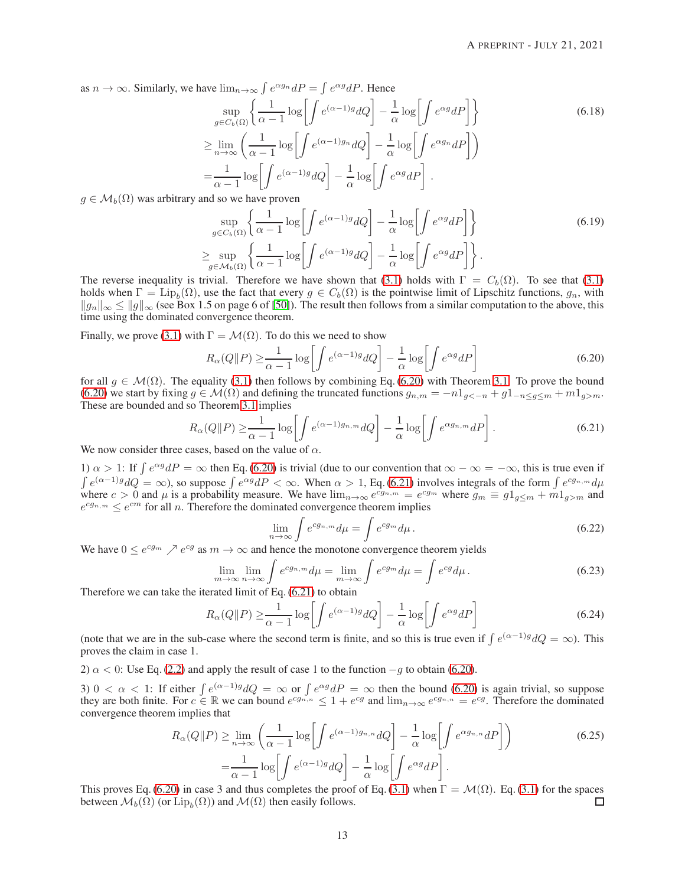as  $n \to \infty$ . Similarly, we have  $\lim_{n \to \infty} \int e^{\alpha g_n} dP = \int e^{\alpha g} dP$ . Hence

$$
\sup_{g \in C_b(\Omega)} \left\{ \frac{1}{\alpha - 1} \log \left[ \int e^{(\alpha - 1)g} dQ \right] - \frac{1}{\alpha} \log \left[ \int e^{\alpha g} dP \right] \right\}
$$
\n
$$
\geq \lim_{n \to \infty} \left( \frac{1}{\alpha - 1} \log \left[ \int e^{(\alpha - 1)g_n} dQ \right] - \frac{1}{\alpha} \log \left[ \int e^{\alpha g_n} dP \right] \right)
$$
\n
$$
= \frac{1}{\alpha - 1} \log \left[ \int e^{(\alpha - 1)g} dQ \right] - \frac{1}{\alpha} \log \left[ \int e^{\alpha g} dP \right].
$$
\nand so we have given

 $g \in \mathcal{M}_b(\Omega)$  was arbitrary and so we have proven

<span id="page-12-0"></span>
$$
\sup_{g \in C_b(\Omega)} \left\{ \frac{1}{\alpha - 1} \log \left[ \int e^{(\alpha - 1)g} dQ \right] - \frac{1}{\alpha} \log \left[ \int e^{\alpha g} dP \right] \right\} \n\geq \sup_{g \in \mathcal{M}_b(\Omega)} \left\{ \frac{1}{\alpha - 1} \log \left[ \int e^{(\alpha - 1)g} dQ \right] - \frac{1}{\alpha} \log \left[ \int e^{\alpha g} dP \right] \right\}.
$$
\n(6.19)

The reverse inequality is trivial. Therefore we have shown that [\(3.1\)](#page-2-4) holds with  $\Gamma = C_b(\Omega)$ . To see that (3.1) holds when  $\Gamma = \text{Lip}_b(\Omega)$ , use the fact that every  $g \in C_b(\Omega)$  is the pointwise limit of Lipschitz functions,  $g_n$ , with  $||g_n||_{\infty} \le ||g||_{\infty}$  (see Box 1.5 on page 6 of [\[50\]](#page-22-18)). The result then follows from a similar computation to the above, this time using the dominated convergence theorem.

Finally, we prove [\(3.1\)](#page-2-4) with  $\Gamma = \mathcal{M}(\Omega)$ . To do this we need to show

$$
R_{\alpha}(Q||P) \ge \frac{1}{\alpha - 1} \log \left[ \int e^{(\alpha - 1)g} dQ \right] - \frac{1}{\alpha} \log \left[ \int e^{\alpha g} dP \right]
$$
(6.20)

for all  $g \in \mathcal{M}(\Omega)$ . The equality [\(3.1\)](#page-2-4) then follows by combining Eq. [\(6.20\)](#page-12-1) with Theorem [3.1.](#page-2-0) To prove the bound [\(6.20\)](#page-12-1) we start by fixing  $g \in \mathcal{M}(\Omega)$  and defining the truncated functions  $g_{n,m} = -n1_{g<-n} + g1_{-n \leq g \leq m} + m1_{g>m}$ . These are bounded and so Theorem [3.1](#page-2-0) implies

$$
R_{\alpha}(Q||P) \ge \frac{1}{\alpha - 1} \log \left[ \int e^{(\alpha - 1)g_{n,m}} dQ \right] - \frac{1}{\alpha} \log \left[ \int e^{\alpha g_{n,m}} dP \right].
$$
\n(6.21)

We now consider three cases, based on the value of  $\alpha$ .

1)  $\alpha > 1$ : If  $\int e^{\alpha g} dP = \infty$  then Eq. [\(6.20\)](#page-12-1) is trivial (due to our convention that  $\infty - \infty = -\infty$ , this is true even if  $\int e^{(\alpha-1)g} dQ = \infty$ , so suppose  $\int e^{\alpha g} dP < \infty$ . When  $\alpha > 1$ , Eq. [\(6.21\)](#page-12-2) involves integrals of the form  $\int e^{c g_{n,m}} d\mu$ where  $c > 0$  and  $\mu$  is a probability measure. We have  $\lim_{n\to\infty} e^{cg_n} = e^{cg_m}$  where  $g_m \equiv g1_{g\leq m} + m1_{g>m}$  and  $e^{c g_{n,m}} \leq e^{cm}$  for all *n*. Therefore the dominated convergence theorem implies

<span id="page-12-2"></span><span id="page-12-1"></span>
$$
\lim_{n \to \infty} \int e^{cg_{n,m}} d\mu = \int e^{cg_m} d\mu. \tag{6.22}
$$

We have  $0 \le e^{c g_m} \nearrow e^{c g}$  as  $m \to \infty$  and hence the monotone convergence theorem yields

$$
\lim_{m \to \infty} \lim_{n \to \infty} \int e^{cg_n} d\mu = \lim_{m \to \infty} \int e^{cg_m} d\mu = \int e^{cg} d\mu.
$$
\n(6.23)

Therefore we can take the iterated limit of Eq. [\(6.21\)](#page-12-2) to obtain

$$
R_{\alpha}(Q||P) \ge \frac{1}{\alpha - 1} \log \left[ \int e^{(\alpha - 1)g} dQ \right] - \frac{1}{\alpha} \log \left[ \int e^{\alpha g} dP \right]
$$
(6.24)

(note that we are in the sub-case where the second term is finite, and so this is true even if  $\int e^{(\alpha-1)g} dQ = \infty$ ). This proves the claim in case 1.

2)  $\alpha$  < 0: Use Eq. [\(2.2\)](#page-2-3) and apply the result of case 1 to the function  $-g$  to obtain [\(6.20\)](#page-12-1).

3)  $0 < \alpha < 1$ : If either  $\int e^{(\alpha-1)g} dQ = \infty$  or  $\int e^{\alpha g} dP = \infty$  then the bound [\(6.20\)](#page-12-1) is again trivial, so suppose they are both finite. For  $c \in \mathbb{R}$  we can bound  $e^{cg_{n,n}} \leq 1 + e^{cg}$  and  $\lim_{n \to \infty} e^{cg_{n,n}} = e^{cg}$ . Therefore the dominated convergence theorem implies that

$$
R_{\alpha}(Q||P) \ge \lim_{n \to \infty} \left( \frac{1}{\alpha - 1} \log \left[ \int e^{(\alpha - 1)g_{n,n}} dQ \right] - \frac{1}{\alpha} \log \left[ \int e^{\alpha g_{n,n}} dP \right] \right)
$$
  
= 
$$
\frac{1}{\alpha - 1} \log \left[ \int e^{(\alpha - 1)g} dQ \right] - \frac{1}{\alpha} \log \left[ \int e^{\alpha g} dP \right].
$$
 (6.25)

This proves Eq. [\(6.20\)](#page-12-1) in case 3 and thus completes the proof of Eq. [\(3.1\)](#page-2-4) when  $\Gamma = \mathcal{M}(\Omega)$ . Eq. [\(3.1\)](#page-2-4) for the spaces between  $\mathcal{M}_h(\Omega)$  (or Lip<sub>k</sub> $(\Omega)$ ) and  $\mathcal{M}(\Omega)$  then easily follows. between  $\mathcal{M}_b(\Omega)$  (or  $\mathrm{Lip}_b(\Omega)$ ) and  $\mathcal{M}(\Omega)$  then easily follows.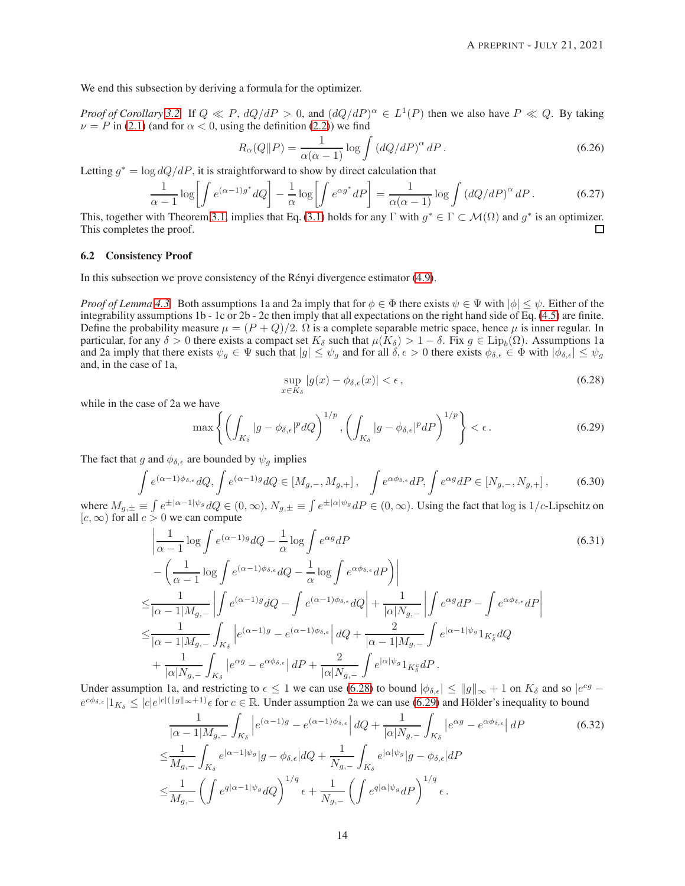We end this subsection by deriving a formula for the optimizer.

*Proof of Corollary* [3.2.](#page-2-1) If  $Q \ll P$ ,  $dQ/dP > 0$ , and  $(dQ/dP)^{\alpha} \in L^1(P)$  then we also have  $P \ll Q$ . By taking  $\nu = P$  in [\(2.1\)](#page-2-2) (and for  $\alpha < 0$ , using the definition [\(2.2\)](#page-2-3)) we find

$$
R_{\alpha}(Q||P) = \frac{1}{\alpha(\alpha - 1)} \log \int (dQ/dP)^{\alpha} dP.
$$
 (6.26)

Letting  $g^* = \log dQ/dP$ , it is straightforward to show by direct calculation that

$$
\frac{1}{\alpha - 1} \log \left[ \int e^{(\alpha - 1)g^*} dQ \right] - \frac{1}{\alpha} \log \left[ \int e^{\alpha g^*} dP \right] = \frac{1}{\alpha(\alpha - 1)} \log \int \left( dQ/dP \right)^{\alpha} dP. \tag{6.27}
$$

This, together with Theorem [3.1,](#page-2-0) implies that Eq. [\(3.1\)](#page-2-4) holds for any  $\Gamma$  with  $g^* \in \Gamma \subset \mathcal{M}(\Omega)$  and  $g^*$  is an optimizer. This completes the proof.

#### <span id="page-13-0"></span>6.2 Consistency Proof

In this subsection we prove consistency of the Rényi divergence estimator  $(4.9)$ .

*Proof of Lemma* [4.3.](#page-5-0) Both assumptions 1a and 2a imply that for  $\phi \in \Phi$  there exists  $\psi \in \Psi$  with  $|\phi| \leq \psi$ . Either of the integrability assumptions 1b - 1c or 2b - 2c then imply that all expectations on the right hand side of Eq. [\(4.5\)](#page-6-5) are finite. Define the probability measure  $\mu = (P+Q)/2$ .  $\Omega$  is a complete separable metric space, hence  $\mu$  is inner regular. In particular, for any  $\delta > 0$  there exists a compact set  $K_{\delta}$  such that  $\mu(K_{\delta}) > 1 - \delta$ . Fix  $g \in \text{Lip}_{b}(\Omega)$ . Assumptions 1a and 2a imply that there exists  $\psi_q \in \Psi$  such that  $|g| \leq \psi_q$  and for all  $\delta, \epsilon > 0$  there exists  $\phi_{\delta,\epsilon} \in \Phi$  with  $|\phi_{\delta,\epsilon}| \leq \psi_q$ and, in the case of 1a,

<span id="page-13-2"></span><span id="page-13-1"></span>
$$
\sup_{x \in K_{\delta}} |g(x) - \phi_{\delta,\epsilon}(x)| < \epsilon \,, \tag{6.28}
$$

while in the case of 2a we have

$$
\max\left\{ \left( \int_{K_{\delta}} |g - \phi_{\delta,\epsilon}|^p dQ \right)^{1/p}, \left( \int_{K_{\delta}} |g - \phi_{\delta,\epsilon}|^p dP \right)^{1/p} \right\} < \epsilon. \tag{6.29}
$$

The fact that g and  $\phi_{\delta,\epsilon}$  are bounded by  $\psi_g$  implies

$$
\int e^{(\alpha-1)\phi_{\delta,\epsilon}} dQ, \int e^{(\alpha-1)g} dQ \in [M_{g,-}, M_{g,+}], \quad \int e^{\alpha\phi_{\delta,\epsilon}} dP, \int e^{\alpha g} dP \in [N_{g,-}, N_{g,+}], \tag{6.30}
$$

where  $M_{g,\pm} \equiv \int e^{\pm |\alpha-1|\psi_g} dQ \in (0,\infty)$ ,  $N_{g,\pm} \equiv \int e^{\pm |\alpha|\psi_g} dP \in (0,\infty)$ . Using the fact that log is  $1/c$ -Lipschitz on  $[c, \infty)$  for all  $c > 0$  we can compute

$$
\left| \frac{1}{\alpha - 1} \log \int e^{(\alpha - 1)g} dQ - \frac{1}{\alpha} \log \int e^{\alpha g} dP \right|
$$
\n
$$
- \left( \frac{1}{\alpha - 1} \log \int e^{(\alpha - 1)\phi_{\delta, \epsilon}} dQ - \frac{1}{\alpha} \log \int e^{\alpha \phi_{\delta, \epsilon}} dP \right) \right|
$$
\n
$$
\leq \frac{1}{|\alpha - 1|M_{g,-}|} \left| \int e^{(\alpha - 1)g} dQ - \int e^{(\alpha - 1)\phi_{\delta, \epsilon}} dQ \right| + \frac{1}{|\alpha| N_{g,-}} \left| \int e^{\alpha g} dP - \int e^{\alpha \phi_{\delta, \epsilon}} dP \right|
$$
\n
$$
\leq \frac{1}{|\alpha - 1|M_{g,-}} \int_{K_{\delta}} \left| e^{(\alpha - 1)g} - e^{(\alpha - 1)\phi_{\delta, \epsilon}} \right| dQ + \frac{2}{|\alpha - 1|M_{g,-}} \int e^{|\alpha - 1|\psi_{g}} 1_{K_{\delta}^{c}} dQ
$$
\n
$$
+ \frac{1}{|\alpha| N_{g,-}} \int_{K_{\delta}} \left| e^{\alpha g} - e^{\alpha \phi_{\delta, \epsilon}} \right| dP + \frac{2}{|\alpha| N_{g,-}} \int e^{|\alpha|\psi_{g}} 1_{K_{\delta}^{c}} dP.
$$
\n
$$
\therefore \left| \frac{1}{|\alpha| N_{g,-}} \int_{K_{\delta}} e^{|\alpha| g} dQ - \frac{1}{|\alpha| N_{g,-}} \int e^{|\alpha| g} 1_{K_{\delta}^{c}} dQ
$$

Under assumption 1a, and restricting to  $\epsilon \leq 1$  we can use [\(6.28\)](#page-13-1) to bound  $|\phi_{\delta,\epsilon}| \leq ||g||_{\infty} + 1$  on  $K_{\delta}$  and so  $|e^{cg}$  $e^{c\phi_{\delta,\epsilon}}|1_{K_{\delta}} \leq |c|e^{|c|(|g||_{\infty}+1)}\epsilon$  for  $c \in \mathbb{R}$ . Under assumption 2a we can use [\(6.29\)](#page-13-2) and Hölder's inequality to bound

$$
\frac{1}{|\alpha - 1|M_{g,-}} \int_{K_{\delta}} \left| e^{(\alpha - 1)g} - e^{(\alpha - 1)\phi_{\delta,\epsilon}} \right| dQ + \frac{1}{|\alpha|N_{g,-}} \int_{K_{\delta}} \left| e^{\alpha g} - e^{\alpha \phi_{\delta,\epsilon}} \right| dP
$$
\n
$$
\leq \frac{1}{M_{g,-}} \int_{K_{\delta}} e^{|\alpha - 1|\psi_g|} |g - \phi_{\delta,\epsilon}| dQ + \frac{1}{N_{g,-}} \int_{K_{\delta}} e^{|\alpha|\psi_g|} |g - \phi_{\delta,\epsilon}| dP
$$
\n
$$
\leq \frac{1}{M_{g,-}} \left( \int e^{q|\alpha - 1|\psi_g} dQ \right)^{1/q} \epsilon + \frac{1}{N_{g,-}} \left( \int e^{q|\alpha|\psi_g} dP \right)^{1/q} \epsilon.
$$
\n(6.32)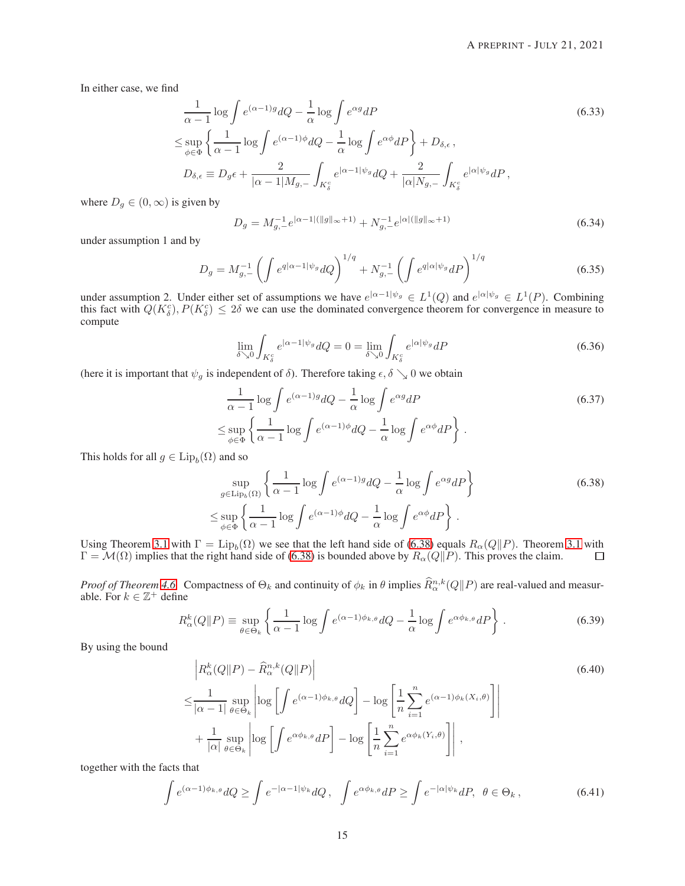In either case, we find

$$
\frac{1}{\alpha - 1} \log \int e^{(\alpha - 1)g} dQ - \frac{1}{\alpha} \log \int e^{\alpha g} dP
$$
\n
$$
\leq \sup_{\phi \in \Phi} \left\{ \frac{1}{\alpha - 1} \log \int e^{(\alpha - 1)\phi} dQ - \frac{1}{\alpha} \log \int e^{\alpha \phi} dP \right\} + D_{\delta, \epsilon},
$$
\n
$$
D_{\delta, \epsilon} \equiv D_g \epsilon + \frac{2}{|\alpha - 1| M_{g,-}} \int_{K_g^c} e^{|\alpha - 1| \psi_g} dQ + \frac{2}{|\alpha| N_{g,-}} \int_{K_g^c} e^{|\alpha| \psi_g} dP,
$$
\n(6.33)

where  $D_g \in (0, \infty)$  is given by

$$
D_g = M_{g,-}^{-1} e^{|\alpha - 1|(|g||_{\infty} + 1)} + N_{g,-}^{-1} e^{|\alpha|(|g||_{\infty} + 1)}
$$
(6.34)

under assumption 1 and by

$$
D_g = M_{g,-}^{-1} \left( \int e^{q|\alpha - 1| \psi_g} dQ \right)^{1/q} + N_{g,-}^{-1} \left( \int e^{q|\alpha| \psi_g} dP \right)^{1/q} \tag{6.35}
$$

under assumption 2. Under either set of assumptions we have  $e^{|\alpha-1|\psi_g} \in L^1(Q)$  and  $e^{|\alpha|\psi_g} \in L^1(P)$ . Combining this fact with  $Q(K_{\delta}^c), P(K_{\delta}^c) \le 2\delta$  we can use the dominated convergence theorem for convergence in measure to compute

$$
\lim_{\delta \searrow 0} \int_{K_{\delta}^c} e^{|\alpha - 1| \psi_g} dQ = 0 = \lim_{\delta \searrow 0} \int_{K_{\delta}^c} e^{|\alpha| \psi_g} dP \tag{6.36}
$$

(here it is important that  $\psi_g$  is independent of  $\delta$ ). Therefore taking  $\epsilon, \delta \searrow 0$  we obtain

$$
\frac{1}{\alpha - 1} \log \int e^{(\alpha - 1)g} dQ - \frac{1}{\alpha} \log \int e^{\alpha g} dP
$$
\n
$$
\leq \sup_{\phi \in \Phi} \left\{ \frac{1}{\alpha - 1} \log \int e^{(\alpha - 1)\phi} dQ - \frac{1}{\alpha} \log \int e^{\alpha \phi} dP \right\}.
$$
\n(6.37)

This holds for all  $g \in \text{Lip}_b(\Omega)$  and so

<span id="page-14-0"></span>
$$
\sup_{g \in \text{Lip}_b(\Omega)} \left\{ \frac{1}{\alpha - 1} \log \int e^{(\alpha - 1)g} dQ - \frac{1}{\alpha} \log \int e^{\alpha g} dP \right\}
$$
\n
$$
\leq \sup_{\phi \in \Phi} \left\{ \frac{1}{\alpha - 1} \log \int e^{(\alpha - 1)\phi} dQ - \frac{1}{\alpha} \log \int e^{\alpha \phi} dP \right\}.
$$
\n(6.38)

Using Theorem [3.1](#page-2-0) with  $\Gamma = \text{Lip}_b(\Omega)$  we see that the left hand side of [\(6.38\)](#page-14-0) equals  $R_\alpha(Q||P)$ . Theorem 3.1 with  $\Gamma = \mathcal{M}(\Omega)$  implies that the right hand side of [\(6.38\)](#page-14-0) is bounded above by  $R_{\alpha}(Q||P)$ . This proves the claim.

*Proof of Theorem [4.6.](#page-6-0)* Compactness of  $\Theta_k$  and continuity of  $\phi_k$  in  $\theta$  implies  $\hat{R}^{n,k}_{\alpha}(Q||P)$  are real-valued and measurable. For  $k \in \mathbb{Z}^+$  define

$$
R_{\alpha}^{k}(Q||P) \equiv \sup_{\theta \in \Theta_{k}} \left\{ \frac{1}{\alpha - 1} \log \int e^{(\alpha - 1)\phi_{k,\theta}} dQ - \frac{1}{\alpha} \log \int e^{\alpha \phi_{k,\theta}} dP \right\}.
$$
 (6.39)

By using the bound

$$
\begin{split} &\left| R_{\alpha}^{k}(Q||P) - \widehat{R}_{\alpha}^{n,k}(Q||P) \right| \\ \leq & \frac{1}{|\alpha - 1|} \sup_{\theta \in \Theta_{k}} \left| \log \left[ \int e^{(\alpha - 1)\phi_{k,\theta}} dQ \right] - \log \left[ \frac{1}{n} \sum_{i=1}^{n} e^{(\alpha - 1)\phi_{k}(X_{i},\theta)} \right] \right| \\ &+ \frac{1}{|\alpha|} \sup_{\theta \in \Theta_{k}} \left| \log \left[ \int e^{\alpha \phi_{k,\theta}} dP \right] - \log \left[ \frac{1}{n} \sum_{i=1}^{n} e^{\alpha \phi_{k}(Y_{i},\theta)} \right] \right|, \end{split} \tag{6.40}
$$

together with the facts that

$$
\int e^{(\alpha-1)\phi_k} \theta \, dQ \ge \int e^{-|\alpha-1|\psi_k} \, dQ \,, \quad \int e^{\alpha \phi_k} \theta \, dP \ge \int e^{-|\alpha|\psi_k} \, dP, \quad \theta \in \Theta_k \,, \tag{6.41}
$$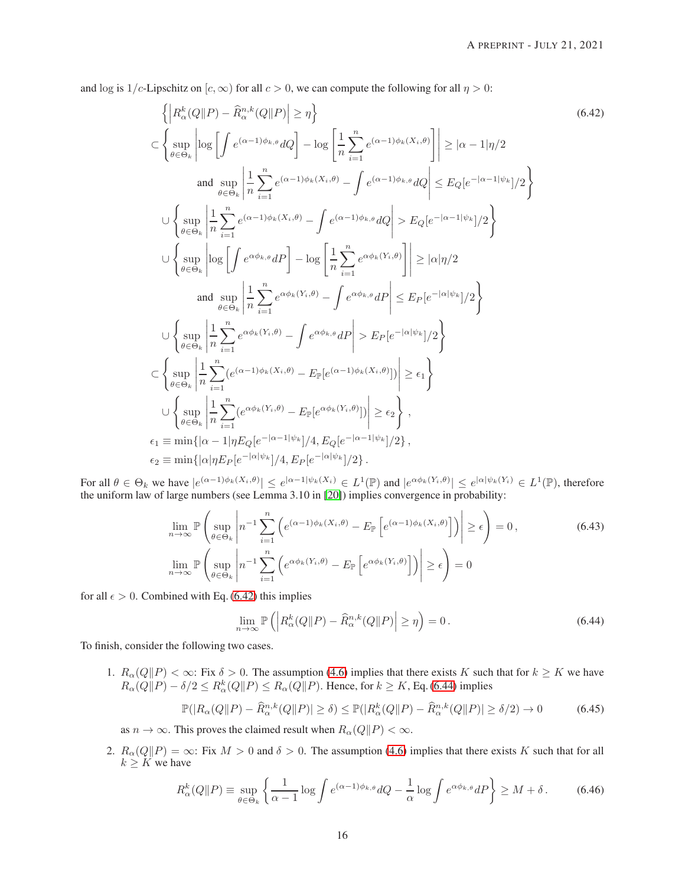and log is  $1/c$ -Lipschitz on  $[c, \infty)$  for all  $c > 0$ , we can compute the following for all  $\eta > 0$ :

<span id="page-15-0"></span>
$$
\left\{\left|R_{\alpha}^{k}(Q\|P)-\widehat{R}_{\alpha}^{n,k}(Q\|P)\right|\geq\eta\right\}
$$
\n
$$
\subset\left\{\sup_{\theta\in\Theta_{k}}\left|\log\left[\int e^{(\alpha-1)\phi_{k,\theta}}dQ\right]-\log\left[\frac{1}{n}\sum_{i=1}^{n}e^{(\alpha-1)\phi_{k}(\overline{X}_{i},\theta)}\right]\right|\geq|\alpha-1|\eta/2
$$
\nand 
$$
\sup_{\theta\in\Theta_{k}}\left|\frac{1}{n}\sum_{i=1}^{n}e^{(\alpha-1)\phi_{k}(\overline{X}_{i},\theta)}-\int e^{(\alpha-1)\phi_{k,\theta}}dQ\right|\leq E_{Q}[e^{-|\alpha-1|\psi_{k}}]/2\right\}
$$
\n
$$
\cup\left\{\sup_{\theta\in\Theta_{k}}\left|\frac{1}{n}\sum_{i=1}^{n}e^{(\alpha-1)\phi_{k}(\overline{X}_{i},\theta)}-\int e^{(\alpha-1)\phi_{k,\theta}}dQ\right|>E_{Q}[e^{-|\alpha-1|\psi_{k}}]/2\right\}
$$
\n
$$
\cup\left\{\sup_{\theta\in\Theta_{k}}\left|\log\left[\int e^{\alpha\phi_{k,\theta}}dP\right]-\log\left[\frac{1}{n}\sum_{i=1}^{n}e^{\alpha\phi_{k}(\overline{Y}_{i},\theta)}\right]\right|\geq|\alpha|\eta/2
$$
\nand 
$$
\sup_{\theta\in\Theta_{k}}\left|\frac{1}{n}\sum_{i=1}^{n}e^{\alpha\phi_{k}(\overline{Y}_{i},\theta)}-\int e^{\alpha\phi_{k,\theta}}dP\right|\leq E_{P}[e^{-|\alpha|\psi_{k}}]/2\right\}
$$
\n
$$
\cup\left\{\sup_{\theta\in\Theta_{k}}\left|\frac{1}{n}\sum_{i=1}^{n}e^{\alpha\phi_{k}(\overline{Y}_{i},\theta)}-\int e^{\alpha\phi_{k,\theta}}dP\right|>E_{P}[e^{-|\alpha|\psi_{k}}]/2\right\}
$$
\n
$$
\subset\left\{\sup_{\theta\in\Theta_{k}}\left|\frac{1}{n}\sum_{i=1}^{n}e^{(\alpha-1)\phi_{k}(\overline{X}_{i},\theta)}-E_{\mathbb{P}}[e^{(\alpha-1)\phi_{k}(\overline{X}_{
$$

For all  $\theta \in \Theta_k$  we have  $|e^{(\alpha-1)\phi_k(X_i,\theta)}| \leq e^{|\alpha-1|\psi_k(X_i)} \in L^1(\mathbb{P})$  and  $|e^{\alpha\phi_k(Y_i,\theta)}| \leq e^{|\alpha|\psi_k(Y_i)} \in L^1(\mathbb{P})$ , therefore the uniform law of large numbers (see Lemma 3.10 in [\[20\]](#page-21-14)) implies convergence in probability:

$$
\lim_{n \to \infty} \mathbb{P}\left(\sup_{\theta \in \Theta_k} \left| n^{-1} \sum_{i=1}^n \left( e^{(\alpha-1)\phi_k(X_i,\theta)} - E_{\mathbb{P}}\left[e^{(\alpha-1)\phi_k(X_i,\theta)}\right] \right) \right| \ge \epsilon \right) = 0,
$$
\n
$$
\lim_{n \to \infty} \mathbb{P}\left(\sup_{\theta \in \Theta_k} \left| n^{-1} \sum_{i=1}^n \left( e^{\alpha\phi_k(Y_i,\theta)} - E_{\mathbb{P}}\left[e^{\alpha\phi_k(Y_i,\theta)}\right] \right) \right| \ge \epsilon \right) = 0
$$
\n(6.43)

for all  $\epsilon > 0$ . Combined with Eq. [\(6.42\)](#page-15-0) this implies

<span id="page-15-1"></span>
$$
\lim_{n \to \infty} \mathbb{P}\left( \left| R_{\alpha}^{k}(Q \| P) - \widehat{R}_{\alpha}^{n,k}(Q \| P) \right| \geq \eta \right) = 0. \tag{6.44}
$$

To finish, consider the following two cases.

1.  $R_{\alpha}(Q||P) < \infty$ : Fix  $\delta > 0$ . The assumption [\(4.6\)](#page-6-1) implies that there exists K such that for  $k \geq K$  we have  $R_{\alpha}(Q||P) - \delta/2 \le R_{\alpha}^{k}(Q||P) \le R_{\alpha}(Q||P)$ . Hence, for  $k \ge K$ , Eq. [\(6.44\)](#page-15-1) implies

$$
\mathbb{P}(|R_{\alpha}(Q||P) - \widehat{R}_{\alpha}^{n,k}(Q||P)| \ge \delta) \le \mathbb{P}(|R_{\alpha}^k(Q||P) - \widehat{R}_{\alpha}^{n,k}(Q||P)| \ge \delta/2) \to 0 \tag{6.45}
$$

as  $n \to \infty$ . This proves the claimed result when  $R_{\alpha}(Q||P) < \infty$ .

2.  $R_{\alpha}(Q||P) = \infty$ : Fix  $M > 0$  and  $\delta > 0$ . The assumption [\(4.6\)](#page-6-1) implies that there exists K such that for all  $k \geq K$  we have

$$
R_{\alpha}^{k}(Q||P) \equiv \sup_{\theta \in \Theta_{k}} \left\{ \frac{1}{\alpha - 1} \log \int e^{(\alpha - 1)\phi_{k,\theta}} dQ - \frac{1}{\alpha} \log \int e^{\alpha \phi_{k,\theta}} dP \right\} \ge M + \delta. \tag{6.46}
$$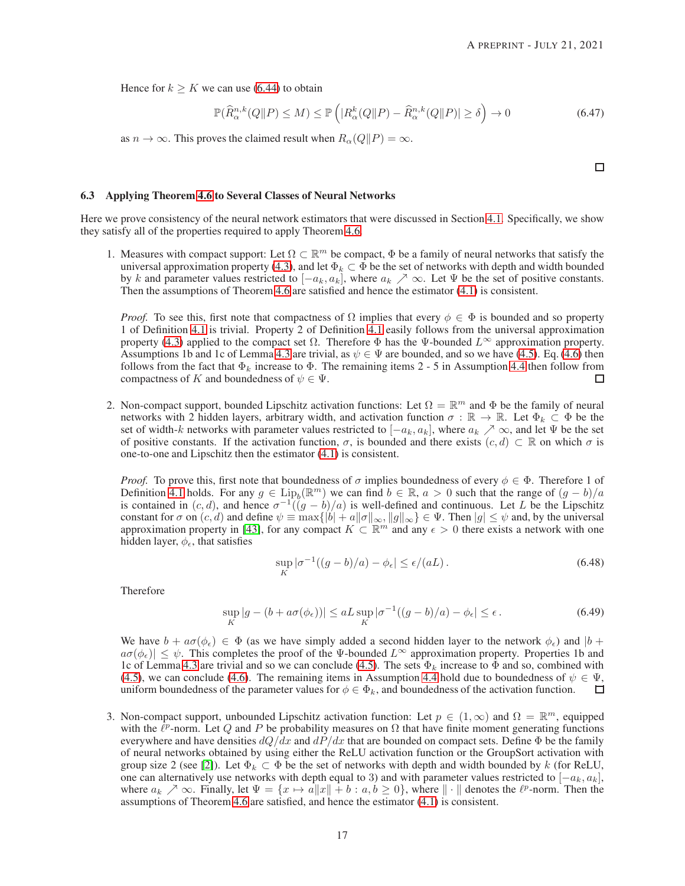Hence for  $k > K$  we can use [\(6.44\)](#page-15-1) to obtain

$$
\mathbb{P}(\widehat{R}_{\alpha}^{n,k}(Q||P) \le M) \le \mathbb{P}\left(|R_{\alpha}^k(Q||P) - \widehat{R}_{\alpha}^{n,k}(Q||P)| \ge \delta\right) \to 0\tag{6.47}
$$

as  $n \to \infty$ . This proves the claimed result when  $R_{\alpha}(Q||P) = \infty$ .

 $\Box$ 

## <span id="page-16-0"></span>6.3 Applying Theorem [4.6](#page-6-0) to Several Classes of Neural Networks

Here we prove consistency of the neural network estimators that were discussed in Section [4.1.](#page-4-0) Specifically, we show they satisfy all of the properties required to apply Theorem [4.6.](#page-6-0)

1. Measures with compact support: Let  $\Omega \subset \mathbb{R}^m$  be compact,  $\Phi$  be a family of neural networks that satisfy the universal approximation property [\(4.3\)](#page-4-1), and let  $\Phi_k \subset \overline{\Phi}$  be the set of networks with depth and width bounded by k and parameter values restricted to  $[-a_k, a_k]$ , where  $a_k \nearrow \infty$ . Let  $\Psi$  be the set of positive constants. Then the assumptions of Theorem [4.6](#page-6-0) are satisfied and hence the estimator [\(4.1\)](#page-3-4) is consistent.

*Proof.* To see this, first note that compactness of  $\Omega$  implies that every  $\phi \in \Phi$  is bounded and so property 1 of Definition [4.1](#page-5-1) is trivial. Property 2 of Definition [4.1](#page-5-1) easily follows from the universal approximation property [\(4.3\)](#page-4-1) applied to the compact set  $\Omega$ . Therefore  $\Phi$  has the Ψ-bounded  $L^{\infty}$  approximation property. Assumptions 1b and 1c of Lemma [4.3](#page-5-0) are trivial, as  $\psi \in \Psi$  are bounded, and so we have [\(4.5\)](#page-6-5). Eq. [\(4.6\)](#page-6-1) then follows from the fact that  $\Phi_k$  increase to  $\Phi$ . The remaining items 2 - 5 in Assumption [4.4](#page-6-3) then follow from compactness of K and boundedness of  $\psi \in \Psi$ .  $\Box$ 

2. Non-compact support, bounded Lipschitz activation functions: Let  $\Omega = \mathbb{R}^m$  and  $\Phi$  be the family of neural networks with 2 hidden layers, arbitrary width, and activation function  $\sigma : \mathbb{R} \to \mathbb{R}$ . Let  $\Phi_k \subset \Phi$  be the set of width-k networks with parameter values restricted to  $[-a_k, a_k]$ , where  $a_k \nearrow \infty$ , and let  $\Psi$  be the set of positive constants. If the activation function,  $\sigma$ , is bounded and there exists  $(c, d) \subset \mathbb{R}$  on which  $\sigma$  is one-to-one and Lipschitz then the estimator [\(4.1\)](#page-3-4) is consistent.

*Proof.* To prove this, first note that boundedness of  $\sigma$  implies boundedness of every  $\phi \in \Phi$ . Therefore 1 of Definition [4.1](#page-5-1) holds. For any  $g \in \text{Lip}_b(\mathbb{R}^m)$  we can find  $b \in \mathbb{R}$ ,  $a > 0$  such that the range of  $(g - b)/a$  is contained in  $(c, d)$ , and hence  $\sigma^{-1}((g - b)/a)$  is well-defined and continuous. Let L be the Lipschitz constant for  $\sigma$  on  $(c, d)$  and define  $\psi \equiv \max\{|b| + a||\sigma||_{\infty}, ||g||_{\infty}\}\in \Psi$ . Then  $|g| \leq \psi$  and, by the universal approximation property in [\[43\]](#page-22-13), for any compact  $K \subset \mathbb{R}^m$  and any  $\epsilon > 0$  there exists a network with one hidden layer,  $\phi_{\epsilon}$ , that satisfies

$$
\sup_{K} |\sigma^{-1}((g-b)/a) - \phi_{\epsilon}| \le \epsilon/(aL). \tag{6.48}
$$

Therefore

$$
\sup_{K} |g - (b + a\sigma(\phi_{\epsilon}))| \le aL \sup_{K} |\sigma^{-1}((g - b)/a) - \phi_{\epsilon}| \le \epsilon.
$$
\n(6.49)

We have  $b + a\sigma(\phi_{\epsilon}) \in \Phi$  (as we have simply added a second hidden layer to the network  $\phi_{\epsilon}$ ) and  $|b + \epsilon|$  $a\sigma(\phi_{\epsilon}) \leq \psi$ . This completes the proof of the Ψ-bounded  $L^{\infty}$  approximation property. Properties 1b and 1c of Lemma [4.3](#page-5-0) are trivial and so we can conclude [\(4.5\)](#page-6-5). The sets  $\Phi_k$  increase to  $\Phi$  and so, combined with [\(4.5\)](#page-6-5), we can conclude [\(4.6\)](#page-6-1). The remaining items in Assumption [4.4](#page-6-3) hold due to boundedness of  $\psi \in \Psi$ , uniform boundedness of the parameter values for  $\phi \in \Phi_k$ , and boundedness of the activation function. uniform boundedness of the parameter values for  $\phi \in \Phi_k$ , and boundedness of the activation function.

3. Non-compact support, unbounded Lipschitz activation function: Let  $p \in (1,\infty)$  and  $\Omega = \mathbb{R}^m$ , equipped with the  $\ell^p$ -norm. Let Q and P be probability measures on  $\Omega$  that have finite moment generating functions everywhere and have densities  $dQ/dx$  and  $dP/dx$  that are bounded on compact sets. Define  $\Phi$  be the family of neural networks obtained by using either the ReLU activation function or the GroupSort activation with group size 2 (see [\[2\]](#page-20-11)). Let  $\Phi_k \subset \Phi$  be the set of networks with depth and width bounded by k (for ReLU, one can alternatively use networks with depth equal to 3) and with parameter values restricted to  $[-a_k, a_k]$ , where  $a_k \nearrow \infty$ . Finally, let  $\Psi = \{x \mapsto a\|x\| + b : a, b \ge 0\}$ , where  $\|\cdot\|$  denotes the  $\ell^p$ -norm. Then the assumptions of Theorem [4.6](#page-6-0) are satisfied, and hence the estimator [\(4.1\)](#page-3-4) is consistent.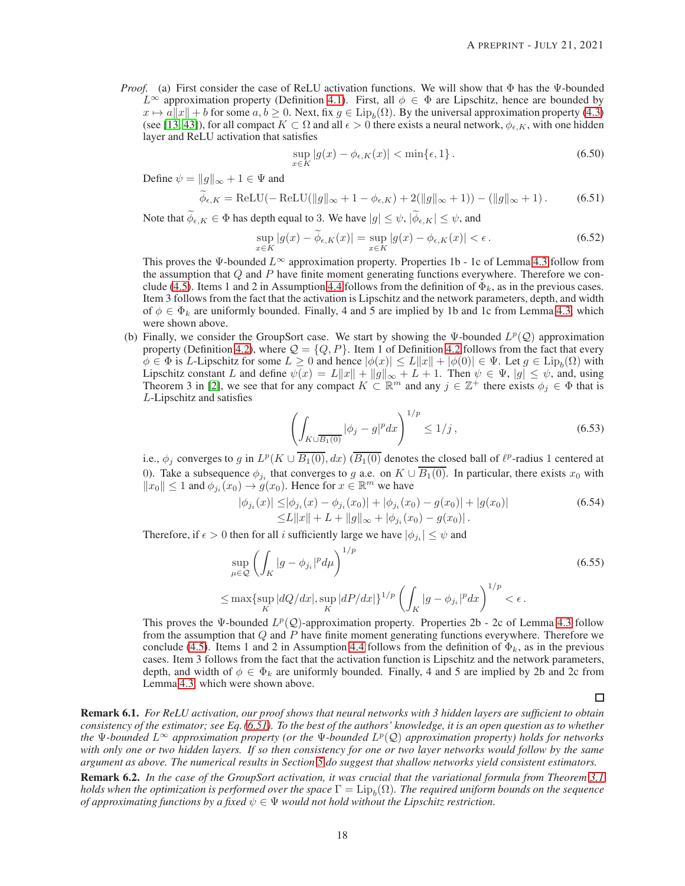*Proof.* (a) First consider the case of ReLU activation functions. We will show that  $\Phi$  has the  $\Psi$ -bounded  $L^{\infty}$  approximation property (Definition [4.1\)](#page-5-1). First, all  $\phi \in \Phi$  are Lipschitz, hence are bounded by  $x \mapsto a||x|| + b$  for some  $a, b \ge 0$ . Next, fix  $g \in \text{Lip}_b(\Omega)$ . By the universal approximation property [\(4.3\)](#page-4-1) (see [\[13,](#page-20-10) [43\]](#page-22-13)), for all compact  $K \subset \Omega$  and all  $\epsilon > 0$  there exists a neural network,  $\phi_{\epsilon,K}$ , with one hidden layer and ReLU activation that satisfies

<span id="page-17-0"></span>
$$
\sup_{x \in K} |g(x) - \phi_{\epsilon,K}(x)| < \min\{\epsilon, 1\}.
$$
\n(6.50)

Define  $\psi = ||g||_{\infty} + 1 \in \Psi$  and

$$
\widetilde{\phi}_{\epsilon,K} = \text{ReLU}(-\text{ReLU}(\|g\|_{\infty} + 1 - \phi_{\epsilon,K}) + 2(\|g\|_{\infty} + 1)) - (\|g\|_{\infty} + 1). \tag{6.51}
$$

Note that  $\widetilde{\phi}_{\epsilon,K} \in \Phi$  has depth equal to 3. We have  $|g| \leq \psi$ ,  $|\widetilde{\phi}_{\epsilon,K}| \leq \psi$ , and

$$
\sup_{x \in K} |g(x) - \widetilde{\phi}_{\epsilon,K}(x)| = \sup_{x \in K} |g(x) - \phi_{\epsilon,K}(x)| < \epsilon. \tag{6.52}
$$

This proves the Ψ-bounded  $L^{\infty}$  approximation property. Properties 1b - 1c of Lemma [4.3](#page-5-0) follow from the assumption that  $Q$  and  $P$  have finite moment generating functions everywhere. Therefore we con-clude [\(4.5\)](#page-6-5). Items 1 and 2 in Assumption [4.4](#page-6-3) follows from the definition of  $\Phi_k$ , as in the previous cases. Item 3 follows from the fact that the activation is Lipschitz and the network parameters, depth, and width of  $\phi \in \Phi_k$  are uniformly bounded. Finally, 4 and 5 are implied by 1b and 1c from Lemma [4.3,](#page-5-0) which were shown above.

(b) Finally, we consider the GroupSort case. We start by showing the  $\Psi$ -bounded  $L^p(Q)$  approximation property (Definition [4.2\)](#page-5-2), where  $\mathcal{Q} = \{Q, P\}$ . Item 1 of Definition [4.2](#page-5-2) follows from the fact that every  $\phi \in \Phi$  is L-Lipschitz for some  $L \geq 0$  and hence  $|\phi(x)| \leq L||x|| + |\phi(0)| \in \Psi$ . Let  $g \in \text{Lip}_b(\Omega)$  with Lipschitz constant L and define  $\psi(x) = L||x|| + ||g||_{\infty} + L + 1$ . Then  $\psi \in \Psi$ ,  $|g| \leq \psi$ , and, using Theorem 3 in [\[2\]](#page-20-11), we see that for any compact  $K \subset \mathbb{R}^m$  and any  $j \in \mathbb{Z}^+$  there exists  $\phi_j \in \Phi$  that is L-Lipschitz and satisfies

$$
\left(\int_{K \cup \overline{B_1(0)}} |\phi_j - g|^p dx\right)^{1/p} \le 1/j\,,\tag{6.53}
$$

i.e.,  $\phi_j$  converges to g in  $L^p(K \cup \overline{B_1(0)}, dx)$   $(\overline{B_1(0)}$  denotes the closed ball of  $\ell^p$ -radius 1 centered at 0). Take a subsequence  $\phi_{j_i}$  that converges to g a.e. on  $K \cup B_1(0)$ . In particular, there exists  $x_0$  with  $||x_0|| \le 1$  and  $\phi_{j_i}(x_0) \to g(x_0)$ . Hence for  $x \in \mathbb{R}^m$  we have

$$
|\phi_{j_i}(x)| \le |\phi_{j_i}(x) - \phi_{j_i}(x_0)| + |\phi_{j_i}(x_0) - g(x_0)| + |g(x_0)|
$$
  
\n
$$
\le L||x|| + L + ||g||_{\infty} + |\phi_{j_i}(x_0) - g(x_0)|.
$$
\n(6.54)

Therefore, if  $\epsilon > 0$  then for all i sufficiently large we have  $|\phi_{j_i}| \leq \psi$  and

$$
\sup_{\mu \in \mathcal{Q}} \left( \int_K |g - \phi_{j_i}|^p d\mu \right)^{1/p} \tag{6.55}
$$
\n
$$
\leq \max \{ \sup_K |dQ/dx|, \sup_K |dP/dx|\}^{1/p} \left( \int_K |g - \phi_{j_i}|^p dx \right)^{1/p} < \epsilon.
$$

This proves the Ψ-bounded  $L^p(Q)$ -approximation property. Properties 2b - 2c of Lemma [4.3](#page-5-0) follow from the assumption that  $Q$  and  $P$  have finite moment generating functions everywhere. Therefore we conclude [\(4.5\)](#page-6-5). Items 1 and 2 in Assumption [4.4](#page-6-3) follows from the definition of  $\Phi_k$ , as in the previous cases. Item 3 follows from the fact that the activation function is Lipschitz and the network parameters, depth, and width of  $\phi \in \Phi_k$  are uniformly bounded. Finally, 4 and 5 are implied by 2b and 2c from Lemma [4.3,](#page-5-0) which were shown above.

 $\Box$ 

Remark 6.1. *For ReLU activation, our proof shows that neural networks with 3 hidden layers are sufficient to obtain consistency of the estimator; see Eq. [\(6.51\)](#page-17-0). To the best of the authors' knowledge, it is an open question as to whether the* Ψ*-bounded* L<sup>∞</sup> *approximation property (or the* Ψ*-bounded* L p (Q) *approximation property) holds for networks with only one or two hidden layers. If so then consistency for one or two layer networks would follow by the same argument as above. The numerical results in Section [5](#page-7-0) do suggest that shallow networks yield consistent estimators.*

Remark 6.2. *In the case of the GroupSort activation, it was crucial that the variational formula from Theorem [3.1](#page-2-0)* holds when the optimization is performed over the space  $\Gamma=\mathrm{Lip}_b(\Omega).$  The required uniform bounds on the sequence *of approximating functions by a fixed*  $\psi \in \Psi$  *would not hold without the Lipschitz restriction.*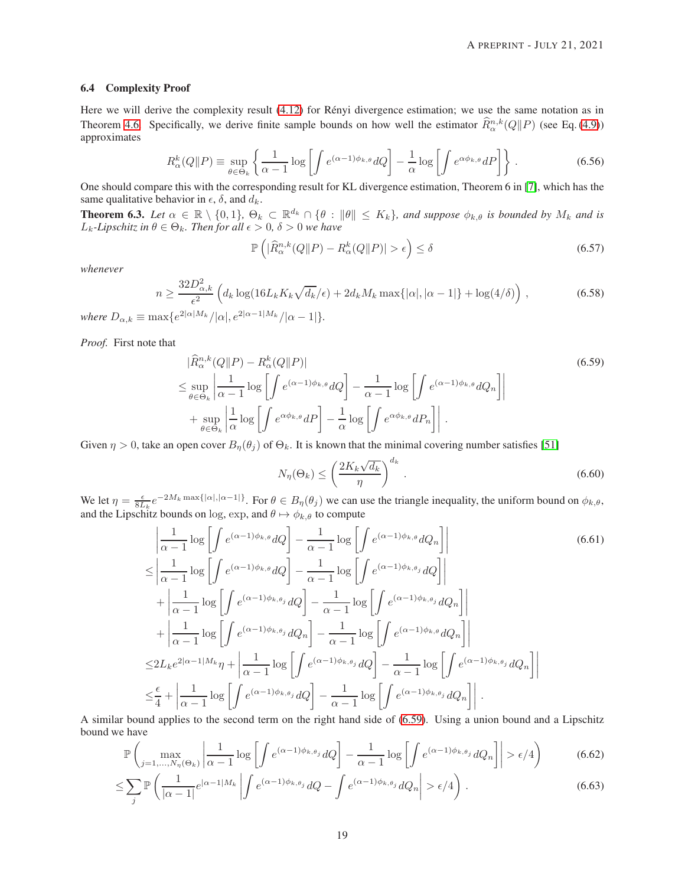#### <span id="page-18-0"></span>6.4 Complexity Proof

Here we will derive the complexity result [\(4.12\)](#page-7-1) for Rényi divergence estimation; we use the same notation as in Theorem [4.6.](#page-6-0) Specifically, we derive finite sample bounds on how well the estimator  $\hat{R}^{n,k}_{\alpha}(Q||P)$  (see Eq. [\(4.9\)](#page-6-4)) approximates

$$
R_{\alpha}^{k}(Q||P) \equiv \sup_{\theta \in \Theta_{k}} \left\{ \frac{1}{\alpha - 1} \log \left[ \int e^{(\alpha - 1)\phi_{k,\theta}} dQ \right] - \frac{1}{\alpha} \log \left[ \int e^{\alpha \phi_{k,\theta}} dP \right] \right\}.
$$
 (6.56)

One should compare this with the corresponding result for KL divergence estimation, Theorem 6 in [\[7\]](#page-20-2), which has the same qualitative behavior in  $\epsilon$ ,  $\delta$ , and  $d_k$ .

<span id="page-18-3"></span>**Theorem 6.3.** *Let*  $\alpha \in \mathbb{R} \setminus \{0,1\}$ ,  $\Theta_k \subset \mathbb{R}^{d_k} \cap \{\theta : ||\theta|| \leq K_k\}$ , and suppose  $\phi_{k,\theta}$  is bounded by  $M_k$  and is  $L_k$ -Lipschitz in  $\theta \in \Theta_k$ . Then for all  $\epsilon > 0$ ,  $\delta > 0$  we have

<span id="page-18-2"></span>
$$
\mathbb{P}\left(|\widehat{R}_{\alpha}^{n,k}(Q||P) - R_{\alpha}^k(Q||P)| > \epsilon\right) \le \delta \tag{6.57}
$$

*whenever*

$$
n \ge \frac{32D_{\alpha,k}^2}{\epsilon^2} \left( d_k \log(16L_k K_k \sqrt{d_k}/\epsilon) + 2d_k M_k \max\{|\alpha|, |\alpha - 1|\} + \log(4/\delta) \right),\tag{6.58}
$$

*where*  $D_{\alpha,k} \equiv \max\{e^{2|\alpha|M_k}/|\alpha|, e^{2|\alpha-1|M_k}/|\alpha-1|\}.$ 

*Proof.* First note that

$$
|\widehat{R}_{\alpha}^{n,k}(Q||P) - R_{\alpha}^{k}(Q||P)|
$$
\n
$$
\leq \sup_{\theta \in \Theta_k} \left| \frac{1}{\alpha - 1} \log \left[ \int e^{(\alpha - 1)\phi_{k,\theta}} dQ \right] - \frac{1}{\alpha - 1} \log \left[ \int e^{(\alpha - 1)\phi_{k,\theta}} dQ_n \right] \right|
$$
\n
$$
+ \sup_{\theta \in \Theta_k} \left| \frac{1}{\alpha} \log \left[ \int e^{\alpha \phi_{k,\theta}} dP \right] - \frac{1}{\alpha} \log \left[ \int e^{\alpha \phi_{k,\theta}} dP_n \right] \right|.
$$
\n(6.59)

Given  $\eta > 0$ , take an open cover  $B_n(\theta_i)$  of  $\Theta_k$ . It is known that the minimal covering number satisfies [\[51\]](#page-22-19)

<span id="page-18-1"></span>
$$
N_{\eta}(\Theta_k) \le \left(\frac{2K_k\sqrt{d_k}}{\eta}\right)^{d_k}.
$$
\n(6.60)

We let  $\eta = \frac{\epsilon}{8L_k} e^{-2M_k \max\{|\alpha|, |\alpha-1|\}}$ . For  $\theta \in B_{\eta}(\theta_j)$  we can use the triangle inequality, the uniform bound on  $\phi_{k,\theta}$ , and the Lipschitz bounds on log, exp, and  $\theta \mapsto \phi_{k,\theta}$  to compute

$$
\left| \frac{1}{\alpha - 1} \log \left[ \int e^{(\alpha - 1)\phi_{k,\theta}} dQ \right] - \frac{1}{\alpha - 1} \log \left[ \int e^{(\alpha - 1)\phi_{k,\theta}} dQ_n \right] \right|
$$
\n
$$
\leq \left| \frac{1}{\alpha - 1} \log \left[ \int e^{(\alpha - 1)\phi_{k,\theta}} dQ \right] - \frac{1}{\alpha - 1} \log \left[ \int e^{(\alpha - 1)\phi_{k,\theta_j}} dQ \right] \right|
$$
\n
$$
+ \left| \frac{1}{\alpha - 1} \log \left[ \int e^{(\alpha - 1)\phi_{k,\theta_j}} dQ \right] - \frac{1}{\alpha - 1} \log \left[ \int e^{(\alpha - 1)\phi_{k,\theta_j}} dQ_n \right] \right|
$$
\n
$$
+ \left| \frac{1}{\alpha - 1} \log \left[ \int e^{(\alpha - 1)\phi_{k,\theta_j}} dQ_n \right] - \frac{1}{\alpha - 1} \log \left[ \int e^{(\alpha - 1)\phi_{k,\theta_j}} dQ_n \right] \right|
$$
\n
$$
\leq 2L_k e^{2|\alpha - 1|M_k} \eta + \left| \frac{1}{\alpha - 1} \log \left[ \int e^{(\alpha - 1)\phi_{k,\theta_j}} dQ \right] - \frac{1}{\alpha - 1} \log \left[ \int e^{(\alpha - 1)\phi_{k,\theta_j}} dQ_n \right] \right|
$$
\n
$$
\leq \frac{\epsilon}{4} + \left| \frac{1}{\alpha - 1} \log \left[ \int e^{(\alpha - 1)\phi_{k,\theta_j}} dQ \right] - \frac{1}{\alpha - 1} \log \left[ \int e^{(\alpha - 1)\phi_{k,\theta_j}} dQ_n \right] \right|.
$$
\n(6.61)

A similar bound applies to the second term on the right hand side of [\(6.59\)](#page-18-1). Using a union bound and a Lipschitz bound we have

$$
\mathbb{P}\left(\max_{j=1,\ldots,N_{\eta}(\Theta_k)}\left|\frac{1}{\alpha-1}\log\left[\int e^{(\alpha-1)\phi_k,\theta_j}dQ\right]-\frac{1}{\alpha-1}\log\left[\int e^{(\alpha-1)\phi_k,\theta_j}dQ_n\right]\right|>\epsilon/4\right) \tag{6.62}
$$

$$
\leq \sum_{j} \mathbb{P}\left(\frac{1}{|\alpha-1|} e^{|\alpha-1|M_k|} \left| \int e^{(\alpha-1)\phi_{k,\theta_j}} dQ - \int e^{(\alpha-1)\phi_{k,\theta_j}} dQ_n \right| > \epsilon/4 \right). \tag{6.63}
$$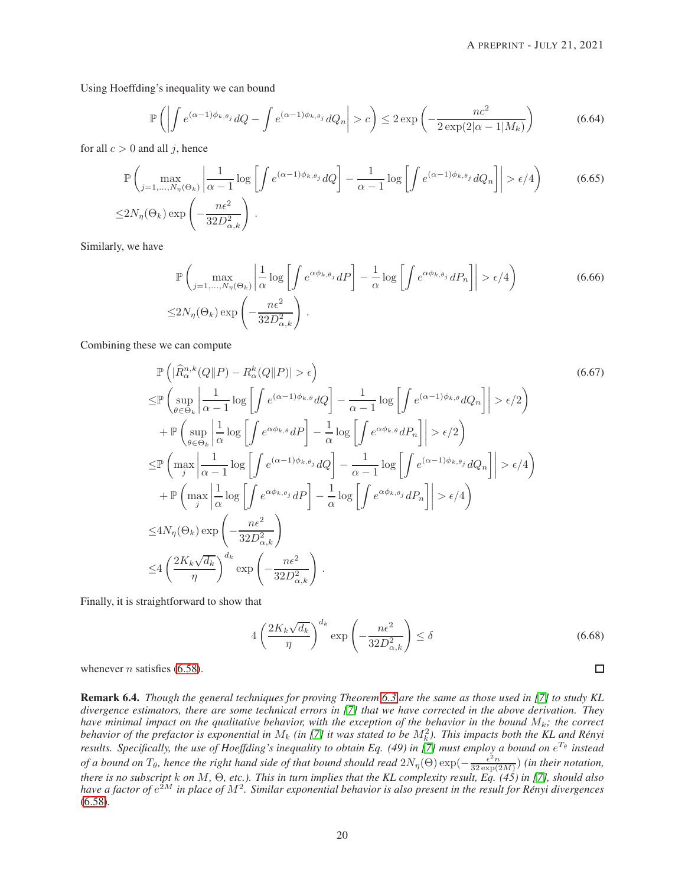Using Hoeffding's inequality we can bound

$$
\mathbb{P}\left(\left|\int e^{(\alpha-1)\phi_{k,\theta_j}}dQ - \int e^{(\alpha-1)\phi_{k,\theta_j}}dQ_n\right| > c\right) \le 2\exp\left(-\frac{nc^2}{2\exp(2|\alpha-1|M_k)}\right) \tag{6.64}
$$

for all  $c > 0$  and all j, hence

$$
\mathbb{P}\left(\max_{j=1,\ldots,N_{\eta}(\Theta_k)}\left|\frac{1}{\alpha-1}\log\left[\int e^{(\alpha-1)\phi_{k,\theta_j}}dQ\right]-\frac{1}{\alpha-1}\log\left[\int e^{(\alpha-1)\phi_{k,\theta_j}}dQ_n\right]\right|>\epsilon/4\right)
$$
(6.65)  

$$
\leq 2N_{\eta}(\Theta_k)\exp\left(-\frac{n\epsilon^2}{32D_{\alpha,k}^2}\right).
$$

Similarly, we have

$$
\mathbb{P}\left(\max_{j=1,\ldots,N_{\eta}(\Theta_k)}\left|\frac{1}{\alpha}\log\left[\int e^{\alpha\phi_{k,\theta_j}}dP\right]-\frac{1}{\alpha}\log\left[\int e^{\alpha\phi_{k,\theta_j}}dP_n\right]\right|>\epsilon/4\right)
$$
\n
$$
\leq 2N_{\eta}(\Theta_k)\exp\left(-\frac{n\epsilon^2}{32D_{\alpha,k}^2}\right).
$$
\n(6.66)

Combining these we can compute

$$
\mathbb{P}\left(|\hat{R}_{\alpha}^{n,k}(Q||P) - R_{\alpha}^{k}(Q||P)| > \epsilon\right)
$$
\n
$$
\leq \mathbb{P}\left(\sup_{\theta \in \Theta_{k}}\left|\frac{1}{\alpha-1}\log\left[\int e^{(\alpha-1)\phi_{k,\theta}}dQ\right] - \frac{1}{\alpha-1}\log\left[\int e^{(\alpha-1)\phi_{k,\theta}}dQ_{n}\right]\right| > \epsilon/2\right)
$$
\n
$$
+ \mathbb{P}\left(\sup_{\theta \in \Theta_{k}}\left|\frac{1}{\alpha}\log\left[\int e^{\alpha\phi_{k,\theta}}dP\right] - \frac{1}{\alpha}\log\left[\int e^{\alpha\phi_{k,\theta}}dP_{n}\right]\right| > \epsilon/2\right)
$$
\n
$$
\leq \mathbb{P}\left(\max_{j} \left|\frac{1}{\alpha-1}\log\left[\int e^{(\alpha-1)\phi_{k,\theta_{j}}}dQ\right] - \frac{1}{\alpha-1}\log\left[\int e^{(\alpha-1)\phi_{k,\theta_{j}}}dQ_{n}\right]\right| > \epsilon/4\right)
$$
\n
$$
+ \mathbb{P}\left(\max_{j} \left|\frac{1}{\alpha}\log\left[\int e^{\alpha\phi_{k,\theta_{j}}}dP\right] - \frac{1}{\alpha}\log\left[\int e^{\alpha\phi_{k,\theta_{j}}}dP_{n}\right]\right| > \epsilon/4\right)
$$
\n
$$
\leq 4N_{\eta}(\Theta_{k})\exp\left(-\frac{n\epsilon^{2}}{32D_{\alpha,k}^{2}}\right)
$$
\n
$$
\leq 4\left(\frac{2K_{k}\sqrt{d_{k}}}{\eta}\right)^{d_{k}}\exp\left(-\frac{n\epsilon^{2}}{32D_{\alpha,k}^{2}}\right).
$$
\n(6.67)

Finally, it is straightforward to show that

$$
4\left(\frac{2K_k\sqrt{d_k}}{\eta}\right)^{d_k} \exp\left(-\frac{n\epsilon^2}{32D_{\alpha,k}^2}\right) \le \delta \tag{6.68}
$$

 $\Box$ 

whenever *n* satisfies  $(6.58)$ .

Remark 6.4. *Though the general techniques for proving Theorem [6.3](#page-18-3) are the same as those used in [\[7\]](#page-20-2) to study KL divergence estimators, there are some technical errors in [\[7\]](#page-20-2) that we have corrected in the above derivation. They have minimal impact on the qualitative behavior, with the exception of the behavior in the bound* Mk*; the correct* behavior of the prefactor is exponential in  $M_k$  (in [\[7\]](#page-20-2) it was stated to be  $M_k^2$ ). This impacts both the KL and Rényi *results. Specifically, the use of Hoeffding's inequality to obtain Eq. (49) in [\[7\]](#page-20-2) must employ a bound on* e <sup>T</sup><sup>θ</sup> *instead of a bound on*  $T_{\theta}$ , hence the right hand side of that bound should read  $2N_{\eta}(\Theta) \exp(-\frac{\epsilon^2 n}{32 \exp(2M)})$  (in their notation, *there is no subscript* k *on* M*,* Θ*, etc.). This in turn implies that the KL complexity result, Eq. (45) in [\[7\]](#page-20-2), should also* have a factor of  $e^{2M}$  in place of  $M^2$ . Similar exponential behavior is also present in the result for Rényi divergences [\(6.58\)](#page-18-2)*.*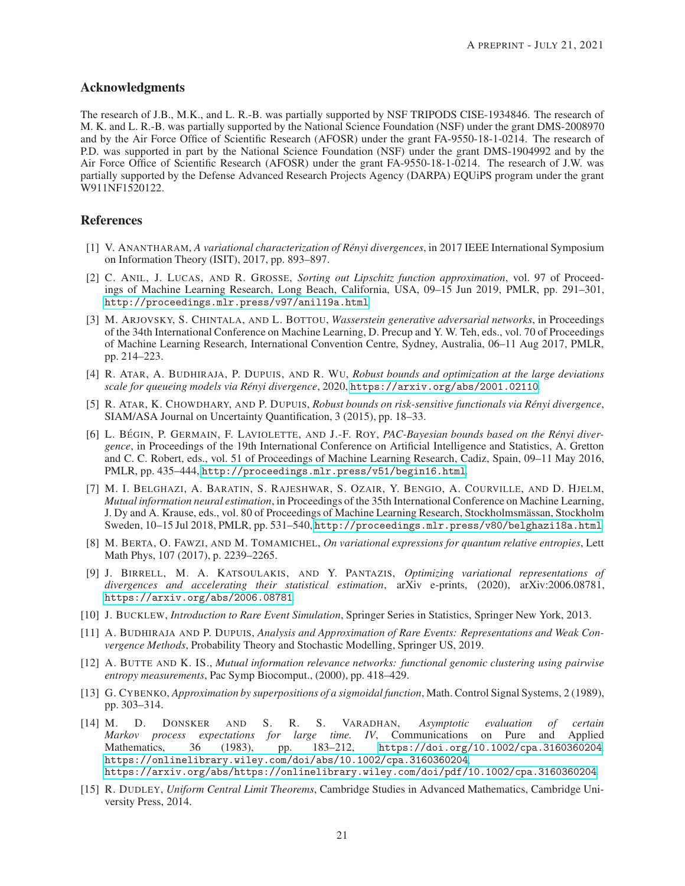# Acknowledgments

The research of J.B., M.K., and L. R.-B. was partially supported by NSF TRIPODS CISE-1934846. The research of M. K. and L. R.-B. was partially supported by the National Science Foundation (NSF) under the grant DMS-2008970 and by the Air Force Office of Scientific Research (AFOSR) under the grant FA-9550-18-1-0214. The research of P.D. was supported in part by the National Science Foundation (NSF) under the grant DMS-1904992 and by the Air Force Office of Scientific Research (AFOSR) under the grant FA-9550-18-1-0214. The research of J.W. was partially supported by the Defense Advanced Research Projects Agency (DARPA) EQUiPS program under the grant W911NF1520122.

# <span id="page-20-6"></span>References

- [1] V. ANANTHARAM, *A variational characterization of Rényi divergences*, in 2017 IEEE International Symposium on Information Theory (ISIT), 2017, pp. 893–897.
- <span id="page-20-11"></span>[2] C. ANIL, J. LUCAS, AND R. GROSSE, *Sorting out Lipschitz function approximation*, vol. 97 of Proceedings of Machine Learning Research, Long Beach, California, USA, 09–15 Jun 2019, PMLR, pp. 291–301, <http://proceedings.mlr.press/v97/anil19a.html>.
- <span id="page-20-1"></span>[3] M. ARJOVSKY, S. CHINTALA, AND L. BOTTOU, *Wasserstein generative adversarial networks*, in Proceedings of the 34th International Conference on Machine Learning, D. Precup and Y. W. Teh, eds., vol. 70 of Proceedings of Machine Learning Research, International Convention Centre, Sydney, Australia, 06–11 Aug 2017, PMLR, pp. 214–223.
- <span id="page-20-12"></span>[4] R. ATAR, A. BUDHIRAJA, P. DUPUIS, AND R. WU, *Robust bounds and optimization at the large deviations scale for queueing models via Renyi divergence ´* , 2020, <https://arxiv.org/abs/2001.02110>.
- <span id="page-20-5"></span>[5] R. ATAR, K. CHOWDHARY, AND P. DUPUIS, *Robust bounds on risk-sensitive functionals via Renyi divergence ´* , SIAM/ASA Journal on Uncertainty Quantification, 3 (2015), pp. 18–33.
- <span id="page-20-13"></span>[6] L. BÉGIN, P. GERMAIN, F. LAVIOLETTE, AND J.-F. ROY, *PAC-Bayesian bounds based on the Rényi divergence*, in Proceedings of the 19th International Conference on Artificial Intelligence and Statistics, A. Gretton and C. C. Robert, eds., vol. 51 of Proceedings of Machine Learning Research, Cadiz, Spain, 09–11 May 2016, PMLR, pp. 435–444, <http://proceedings.mlr.press/v51/begin16.html>.
- <span id="page-20-2"></span>[7] M. I. BELGHAZI, A. BARATIN, S. RAJESHWAR, S. OZAIR, Y. BENGIO, A. COURVILLE, AND D. HJELM, *Mutual information neural estimation*, in Proceedings of the 35th International Conference on Machine Learning, J. Dy and A. Krause, eds., vol. 80 of Proceedings of Machine Learning Research, Stockholmsmässan, Stockholm Sweden, 10–15 Jul 2018, PMLR, pp. 531–540, <http://proceedings.mlr.press/v80/belghazi18a.html>.
- <span id="page-20-7"></span>[8] M. BERTA, O. FAWZI, AND M. TOMAMICHEL, *On variational expressions for quantum relative entropies*, Lett Math Phys, 107 (2017), p. 2239–2265.
- <span id="page-20-3"></span>[9] J. BIRRELL, M. A. KATSOULAKIS, AND Y. PANTAZIS, *Optimizing variational representations of divergences and accelerating their statistical estimation*, arXiv e-prints, (2020), arXiv:2006.08781, <https://arxiv.org/abs/2006.08781>.
- <span id="page-20-9"></span><span id="page-20-8"></span>[10] J. BUCKLEW, *Introduction to Rare Event Simulation*, Springer Series in Statistics, Springer New York, 2013.
- [11] A. BUDHIRAJA AND P. DUPUIS, *Analysis and Approximation of Rare Events: Representations and Weak Convergence Methods*, Probability Theory and Stochastic Modelling, Springer US, 2019.
- <span id="page-20-0"></span>[12] A. BUTTE AND K. IS., *Mutual information relevance networks: functional genomic clustering using pairwise entropy measurements*, Pac Symp Biocomput., (2000), pp. 418–429.
- <span id="page-20-10"></span>[13] G. CYBENKO, *Approximation by superpositions of a sigmoidal function*, Math. Control Signal Systems, 2 (1989), pp. 303–314.
- <span id="page-20-4"></span>[14] M. D. DONSKER AND S. R. S. VARADHAN, *Asymptotic evaluation of certain Markov process expectations for large time. IV*, Communications on Pure and Applied Mathematics, 36 (1983), pp. 183–212, <https://doi.org/10.1002/cpa.3160360204>, <https://onlinelibrary.wiley.com/doi/abs/10.1002/cpa.3160360204>, <https://arxiv.org/abs/https://onlinelibrary.wiley.com/doi/pdf/10.1002/cpa.3160360204>.
- <span id="page-20-14"></span>[15] R. DUDLEY, *Uniform Central Limit Theorems*, Cambridge Studies in Advanced Mathematics, Cambridge University Press, 2014.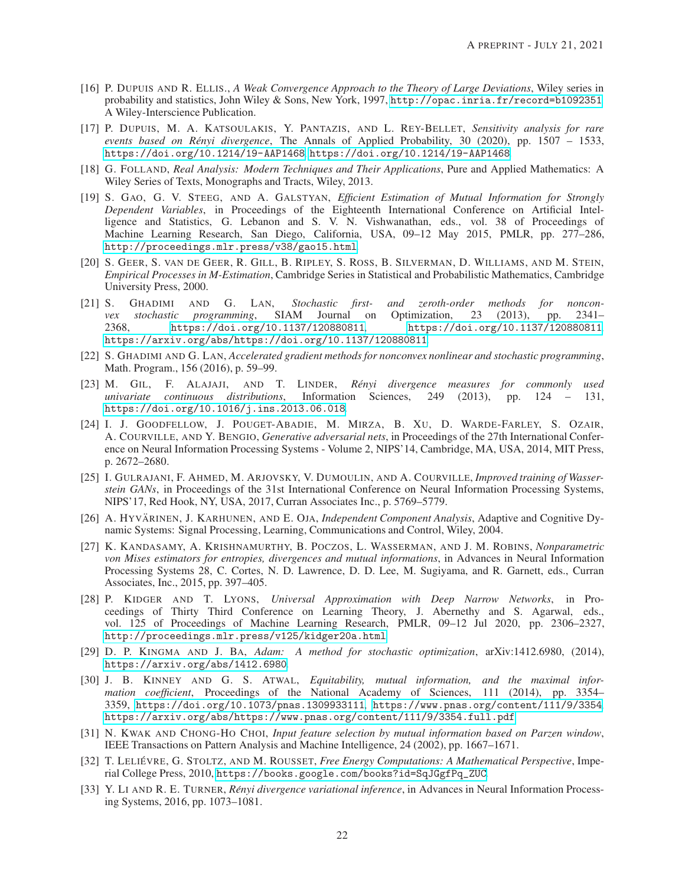- <span id="page-21-7"></span>[16] P. DUPUIS AND R. ELLIS., *A Weak Convergence Approach to the Theory of Large Deviations*, Wiley series in probability and statistics, John Wiley & Sons, New York, 1997, <http://opac.inria.fr/record=b1092351>. A Wiley-Interscience Publication.
- [17] P. DUPUIS, M. A. KATSOULAKIS, Y. PANTAZIS, AND L. REY-BELLET, *Sensitivity analysis for rare events based on Renyi divergence ´* , The Annals of Applied Probability, 30 (2020), pp. 1507 – 1533, <https://doi.org/10.1214/19-AAP1468>, <https://doi.org/10.1214/19-AAP1468>.
- <span id="page-21-13"></span>[18] G. FOLLAND, *Real Analysis: Modern Techniques and Their Applications*, Pure and Applied Mathematics: A Wiley Series of Texts, Monographs and Tracts, Wiley, 2013.
- <span id="page-21-4"></span>[19] S. GAO, G. V. STEEG, AND A. GALSTYAN, *Efficient Estimation of Mutual Information for Strongly Dependent Variables*, in Proceedings of the Eighteenth International Conference on Artificial Intelligence and Statistics, G. Lebanon and S. V. N. Vishwanathan, eds., vol. 38 of Proceedings of Machine Learning Research, San Diego, California, USA, 09–12 May 2015, PMLR, pp. 277–286, <http://proceedings.mlr.press/v38/gao15.html>.
- <span id="page-21-14"></span>[20] S. GEER, S. VAN DE GEER, R. GILL, B. RIPLEY, S. ROSS, B. SILVERMAN, D. WILLIAMS, AND M. STEIN, *Empirical Processes in M-Estimation*, Cambridge Series in Statistical and Probabilistic Mathematics, Cambridge University Press, 2000.
- [21] S. GHADIMI AND G. LAN, *Stochastic first- and zeroth-order methods for nonconvex stochastic programming*, SIAM Journal on Optimization, 23 (2013), pp. 2341– 2368, <https://doi.org/10.1137/120880811>, <https://doi.org/10.1137/120880811>, <https://arxiv.org/abs/https://doi.org/10.1137/120880811>.
- <span id="page-21-11"></span>[22] S. GHADIMI AND G. LAN, *Accelerated gradient methods for nonconvex nonlinear and stochastic programming*, Math. Program., 156 (2016), p. 59–99.
- <span id="page-21-8"></span>[23] M. GIL, F. ALAJAJI, AND T. LINDER, *Renyi divergence measures for commonly used ´ univariate continuous distributions*, Information Sciences, 249 (2013), pp. 124 – 131, <https://doi.org/10.1016/j.ins.2013.06.018>.
- <span id="page-21-3"></span>[24] I. J. GOODFELLOW, J. POUGET-ABADIE, M. MIRZA, B. XU, D. WARDE-FARLEY, S. OZAIR, A. COURVILLE, AND Y. BENGIO, *Generative adversarial nets*, in Proceedings of the 27th International Conference on Neural Information Processing Systems - Volume 2, NIPS'14, Cambridge, MA, USA, 2014, MIT Press, p. 2672–2680.
- [25] I. GULRAJANI, F. AHMED, M. ARJOVSKY, V. DUMOULIN, AND A. COURVILLE, *Improved training of Wasserstein GANs*, in Proceedings of the 31st International Conference on Neural Information Processing Systems, NIPS'17, Red Hook, NY, USA, 2017, Curran Associates Inc., p. 5769–5779.
- <span id="page-21-0"></span>[26] A. HYVÄRINEN, J. KARHUNEN, AND E. OJA, *Independent Component Analysis*, Adaptive and Cognitive Dynamic Systems: Signal Processing, Learning, Communications and Control, Wiley, 2004.
- <span id="page-21-5"></span>[27] K. KANDASAMY, A. KRISHNAMURTHY, B. POCZOS, L. WASSERMAN, AND J. M. ROBINS, *Nonparametric von Mises estimators for entropies, divergences and mutual informations*, in Advances in Neural Information Processing Systems 28, C. Cortes, N. D. Lawrence, D. D. Lee, M. Sugiyama, and R. Garnett, eds., Curran Associates, Inc., 2015, pp. 397–405.
- <span id="page-21-10"></span>[28] P. KIDGER AND T. LYONS, *Universal Approximation with Deep Narrow Networks*, in Proceedings of Thirty Third Conference on Learning Theory, J. Abernethy and S. Agarwal, eds., vol. 125 of Proceedings of Machine Learning Research, PMLR, 09–12 Jul 2020, pp. 2306–2327, <http://proceedings.mlr.press/v125/kidger20a.html>.
- <span id="page-21-12"></span>[29] D. P. KINGMA AND J. BA, *Adam: A method for stochastic optimization*, arXiv:1412.6980, (2014), <https://arxiv.org/abs/1412.6980>.
- <span id="page-21-2"></span>[30] J. B. KINNEY AND G. S. ATWAL, *Equitability, mutual information, and the maximal information coefficient*, Proceedings of the National Academy of Sciences, 111 (2014), pp. 3354– 3359, <https://doi.org/10.1073/pnas.1309933111>, <https://www.pnas.org/content/111/9/3354>, <https://arxiv.org/abs/https://www.pnas.org/content/111/9/3354.full.pdf>.
- <span id="page-21-1"></span>[31] N. KWAK AND CHONG-HO CHOI, *Input feature selection by mutual information based on Parzen window*, IEEE Transactions on Pattern Analysis and Machine Intelligence, 24 (2002), pp. 1667–1671.
- <span id="page-21-9"></span>[32] T. LELIÉVRE, G. STOLTZ, AND M. ROUSSET, *Free Energy Computations: A Mathematical Perspective*, Imperial College Press, 2010, [https://books.google.com/books?id=SqJGgfPq\\_ZUC](https://books.google.com/books?id=SqJGgfPq_ZUC).
- <span id="page-21-6"></span>[33] Y. LI AND R. E. TURNER, *Rényi divergence variational inference*, in Advances in Neural Information Processing Systems, 2016, pp. 1073–1081.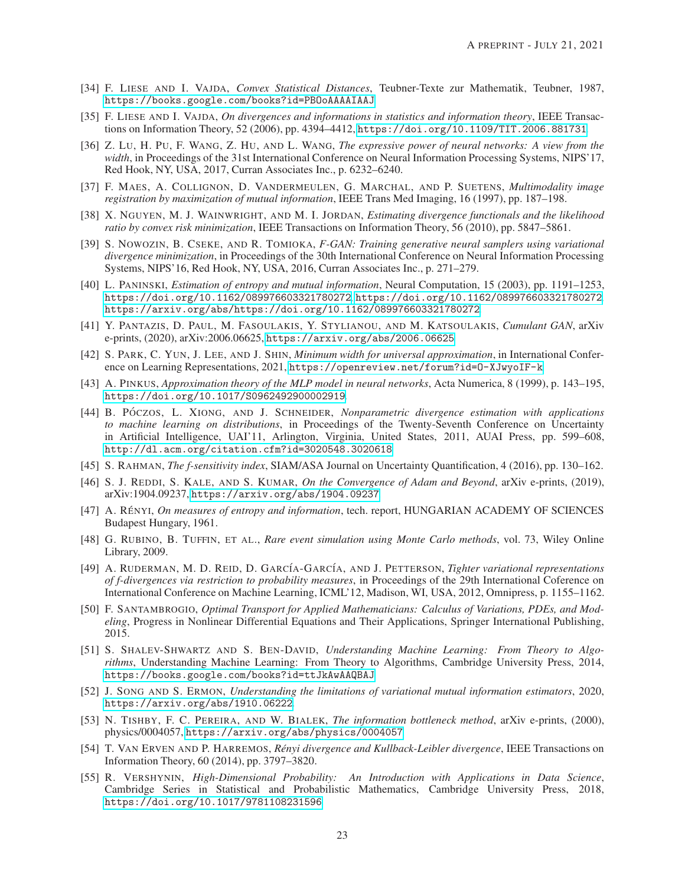- <span id="page-22-11"></span>[34] F. LIESE AND I. VAJDA, *Convex Statistical Distances*, Teubner-Texte zur Mathematik, Teubner, 1987, <https://books.google.com/books?id=PBOoAAAAIAAJ>.
- <span id="page-22-10"></span>[35] F. LIESE AND I. VAJDA, *On divergences and informations in statistics and information theory*, IEEE Transactions on Information Theory, 52 (2006), pp. 4394–4412, <https://doi.org/10.1109/TIT.2006.881731>.
- [36] Z. LU, H. PU, F. WANG, Z. HU, AND L. WANG, *The expressive power of neural networks: A view from the* width, in Proceedings of the 31st International Conference on Neural Information Processing Systems, NIPS'17, Red Hook, NY, USA, 2017, Curran Associates Inc., p. 6232–6240.
- <span id="page-22-0"></span>[37] F. MAES, A. COLLIGNON, D. VANDERMEULEN, G. MARCHAL, AND P. SUETENS, *Multimodality image registration by maximization of mutual information*, IEEE Trans Med Imaging, 16 (1997), pp. 187–198.
- <span id="page-22-5"></span>[38] X. NGUYEN, M. J. WAINWRIGHT, AND M. I. JORDAN, *Estimating divergence functionals and the likelihood ratio by convex risk minimization*, IEEE Transactions on Information Theory, 56 (2010), pp. 5847–5861.
- <span id="page-22-2"></span>[39] S. NOWOZIN, B. CSEKE, AND R. TOMIOKA, *F-GAN: Training generative neural samplers using variational divergence minimization*, in Proceedings of the 30th International Conference on Neural Information Processing Systems, NIPS'16, Red Hook, NY, USA, 2016, Curran Associates Inc., p. 271–279.
- [40] L. PANINSKI, *Estimation of entropy and mutual information*, Neural Computation, 15 (2003), pp. 1191–1253, <https://doi.org/10.1162/089976603321780272>, <https://doi.org/10.1162/089976603321780272>, <https://arxiv.org/abs/https://doi.org/10.1162/089976603321780272>.
- <span id="page-22-3"></span>[41] Y. PANTAZIS, D. PAUL, M. FASOULAKIS, Y. STYLIANOU, AND M. KATSOULAKIS, *Cumulant GAN*, arXiv e-prints, (2020), arXiv:2006.06625, <https://arxiv.org/abs/2006.06625>.
- <span id="page-22-14"></span>[42] S. PARK, C. YUN, J. LEE, AND J. SHIN, *Minimum width for universal approximation*, in International Conference on Learning Representations, 2021, <https://openreview.net/forum?id=O-XJwyoIF-k>.
- <span id="page-22-13"></span>[43] A. PINKUS, *Approximation theory of the MLP model in neural networks*, Acta Numerica, 8 (1999), p. 143–195, <https://doi.org/10.1017/S0962492900002919>.
- <span id="page-22-4"></span>[44] B. PÓCZOS, L. XIONG, AND J. SCHNEIDER, *Nonparametric divergence estimation with applications to machine learning on distributions*, in Proceedings of the Twenty-Seventh Conference on Uncertainty in Artificial Intelligence, UAI'11, Arlington, Virginia, United States, 2011, AUAI Press, pp. 599–608, <http://dl.acm.org/citation.cfm?id=3020548.3020618>.
- <span id="page-22-17"></span><span id="page-22-16"></span>[45] S. RAHMAN, *The f-sensitivity index*, SIAM/ASA Journal on Uncertainty Quantification, 4 (2016), pp. 130–162.
- [46] S. J. REDDI, S. KALE, AND S. KUMAR, *On the Convergence of Adam and Beyond*, arXiv e-prints, (2019), arXiv:1904.09237, <https://arxiv.org/abs/1904.09237>.
- <span id="page-22-7"></span>[47] A. RÉNYI, *On measures of entropy and information*, tech. report, HUNGARIAN ACADEMY OF SCIENCES Budapest Hungary, 1961.
- <span id="page-22-12"></span>[48] G. RUBINO, B. TUFFIN, ET AL., *Rare event simulation using Monte Carlo methods*, vol. 73, Wiley Online Library, 2009.
- <span id="page-22-6"></span>[49] A. RUDERMAN, M. D. REID, D. GARC´IA-GARC´IA, AND J. PETTERSON, *Tighter variational representations of f-divergences via restriction to probability measures*, in Proceedings of the 29th International Coference on International Conference on Machine Learning, ICML'12, Madison, WI, USA, 2012, Omnipress, p. 1155–1162.
- <span id="page-22-18"></span>[50] F. SANTAMBROGIO, *Optimal Transport for Applied Mathematicians: Calculus of Variations, PDEs, and Modeling*, Progress in Nonlinear Differential Equations and Their Applications, Springer International Publishing, 2015.
- <span id="page-22-19"></span>[51] S. SHALEV-SHWARTZ AND S. BEN-DAVID, *Understanding Machine Learning: From Theory to Algorithms*, Understanding Machine Learning: From Theory to Algorithms, Cambridge University Press, 2014, <https://books.google.com/books?id=ttJkAwAAQBAJ>.
- <span id="page-22-9"></span>[52] J. SONG AND S. ERMON, *Understanding the limitations of variational mutual information estimators*, 2020, <https://arxiv.org/abs/1910.06222>.
- <span id="page-22-1"></span>[53] N. TISHBY, F. C. PEREIRA, AND W. BIALEK, *The information bottleneck method*, arXiv e-prints, (2000), physics/0004057, <https://arxiv.org/abs/physics/0004057>.
- <span id="page-22-8"></span>[54] T. VAN ERVEN AND P. HARREMOS, *Rényi divergence and Kullback-Leibler divergence*, IEEE Transactions on Information Theory, 60 (2014), pp. 3797–3820.
- <span id="page-22-15"></span>[55] R. VERSHYNIN, *High-Dimensional Probability: An Introduction with Applications in Data Science*, Cambridge Series in Statistical and Probabilistic Mathematics, Cambridge University Press, 2018, <https://doi.org/10.1017/9781108231596>.